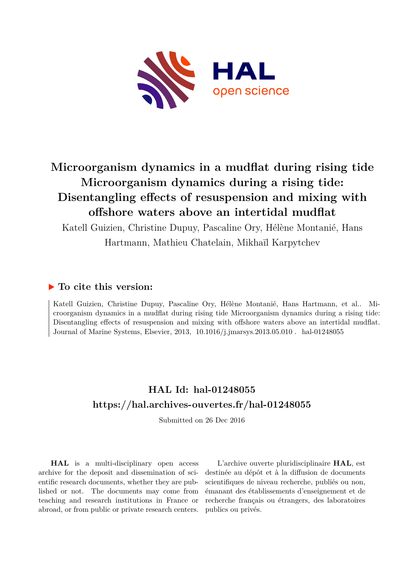

# **Microorganism dynamics in a mudflat during rising tide Microorganism dynamics during a rising tide: Disentangling effects of resuspension and mixing with offshore waters above an intertidal mudflat**

Katell Guizien, Christine Dupuy, Pascaline Ory, Hélène Montanié, Hans Hartmann, Mathieu Chatelain, Mikhaïl Karpytchev

## **To cite this version:**

Katell Guizien, Christine Dupuy, Pascaline Ory, Hélène Montanié, Hans Hartmann, et al.. Microorganism dynamics in a mudflat during rising tide Microorganism dynamics during a rising tide: Disentangling effects of resuspension and mixing with offshore waters above an intertidal mudflat. Journal of Marine Systems, Elsevier, 2013, 10.1016/j.jmarsys.2013.05.010 . hal-01248055

## **HAL Id: hal-01248055 <https://hal.archives-ouvertes.fr/hal-01248055>**

Submitted on 26 Dec 2016

**HAL** is a multi-disciplinary open access archive for the deposit and dissemination of scientific research documents, whether they are published or not. The documents may come from teaching and research institutions in France or abroad, or from public or private research centers.

L'archive ouverte pluridisciplinaire **HAL**, est destinée au dépôt et à la diffusion de documents scientifiques de niveau recherche, publiés ou non, émanant des établissements d'enseignement et de recherche français ou étrangers, des laboratoires publics ou privés.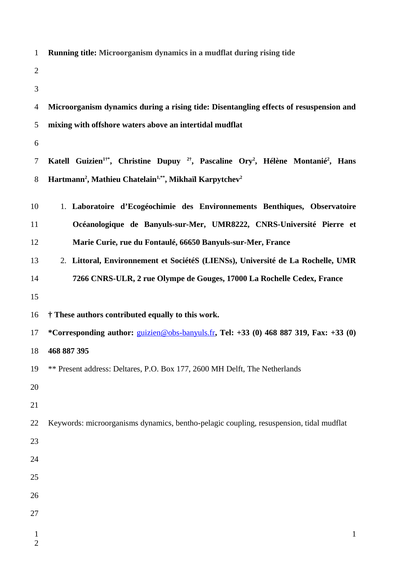| $\mathbf{1}$   | Running title: Microorganism dynamics in a mudflat during rising tide                                                           |  |  |
|----------------|---------------------------------------------------------------------------------------------------------------------------------|--|--|
| $\overline{2}$ |                                                                                                                                 |  |  |
| 3              |                                                                                                                                 |  |  |
| 4              | Microorganism dynamics during a rising tide: Disentangling effects of resuspension and                                          |  |  |
| 5              | mixing with offshore waters above an intertidal mudflat                                                                         |  |  |
| 6              |                                                                                                                                 |  |  |
| 7              | Katell Guizien <sup>1+</sup> , Christine Dupuy <sup>2+</sup> , Pascaline Ory <sup>2</sup> , Hélène Montanié <sup>2</sup> , Hans |  |  |
| 8              | Hartmann <sup>2</sup> , Mathieu Chatelain <sup>1,**</sup> , Mikhaïl Karpytchev <sup>2</sup>                                     |  |  |
| 10             | 1. Laboratoire d'Ecogéochimie des Environnements Benthiques, Observatoire                                                       |  |  |
| 11             | Océanologique de Banyuls-sur-Mer, UMR8222, CNRS-Université Pierre et                                                            |  |  |
| 12             | Marie Curie, rue du Fontaulé, 66650 Banyuls-sur-Mer, France                                                                     |  |  |
| 13             | 2. Littoral, Environnement et SociétéS (LIENSs), Université de La Rochelle, UMR                                                 |  |  |
| 14             | 7266 CNRS-ULR, 2 rue Olympe de Gouges, 17000 La Rochelle Cedex, France                                                          |  |  |
| 15             |                                                                                                                                 |  |  |
| 16             | † These authors contributed equally to this work.                                                                               |  |  |
| 17             | *Corresponding author: <i>guizien@obs-banyuls.fr</i> , Tel: +33 (0) 468 887 319, Fax: +33 (0)                                   |  |  |
| 18             | 468 887 395                                                                                                                     |  |  |
| 19             | ** Present address: Deltares, P.O. Box 177, 2600 MH Delft, The Netherlands                                                      |  |  |
| 20             |                                                                                                                                 |  |  |
| 21             |                                                                                                                                 |  |  |
| 22             | Keywords: microorganisms dynamics, bentho-pelagic coupling, resuspension, tidal mudflat                                         |  |  |
| 23             |                                                                                                                                 |  |  |
| 24             |                                                                                                                                 |  |  |
| 25             |                                                                                                                                 |  |  |
| 26             |                                                                                                                                 |  |  |
| 27             |                                                                                                                                 |  |  |
| $\mathbf{1}$   | $\mathbf{1}$                                                                                                                    |  |  |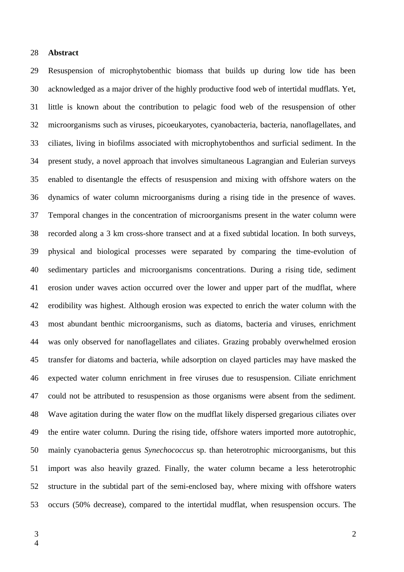#### **Abstract** 28

Resuspension of microphytobenthic biomass that builds up during low tide has been acknowledged as a major driver of the highly productive food web of intertidal mudflats. Yet, little is known about the contribution to pelagic food web of the resuspension of other microorganisms such as viruses, picoeukaryotes, cyanobacteria, bacteria, nanoflagellates, and ciliates, living in biofilms associated with microphytobenthos and surficial sediment. In the present study, a novel approach that involves simultaneous Lagrangian and Eulerian surveys enabled to disentangle the effects of resuspension and mixing with offshore waters on the dynamics of water column microorganisms during a rising tide in the presence of waves. Temporal changes in the concentration of microorganisms present in the water column were recorded along a 3 km cross-shore transect and at a fixed subtidal location. In both surveys, physical and biological processes were separated by comparing the time-evolution of sedimentary particles and microorganisms concentrations. During a rising tide, sediment erosion under waves action occurred over the lower and upper part of the mudflat, where erodibility was highest. Although erosion was expected to enrich the water column with the most abundant benthic microorganisms, such as diatoms, bacteria and viruses, enrichment was only observed for nanoflagellates and ciliates. Grazing probably overwhelmed erosion transfer for diatoms and bacteria, while adsorption on clayed particles may have masked the expected water column enrichment in free viruses due to resuspension. Ciliate enrichment could not be attributed to resuspension as those organisms were absent from the sediment. Wave agitation during the water flow on the mudflat likely dispersed gregarious ciliates over the entire water column. During the rising tide, offshore waters imported more autotrophic, mainly cyanobacteria genus *Synechococcus* sp. than heterotrophic microorganisms, but this import was also heavily grazed. Finally, the water column became a less heterotrophic structure in the subtidal part of the semi-enclosed bay, where mixing with offshore waters occurs (50% decrease), compared to the intertidal mudflat, when resuspension occurs. The 29 30 31 32 33 34 35 36 37 38 39 40 41 42 43 44 45 46 47 48 49 50 51 52 53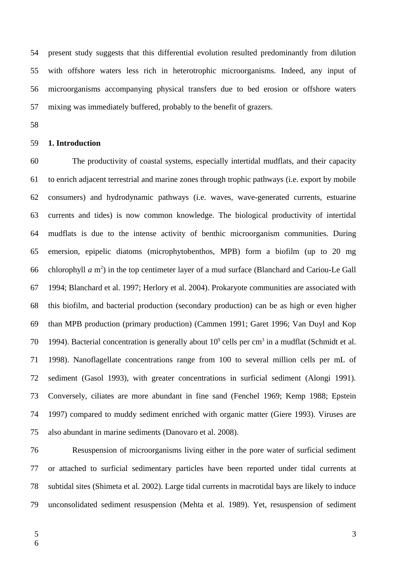present study suggests that this differential evolution resulted predominantly from dilution with offshore waters less rich in heterotrophic microorganisms. Indeed, any input of microorganisms accompanying physical transfers due to bed erosion or offshore waters mixing was immediately buffered, probably to the benefit of grazers. 54 55 56 57

58

#### **1. Introduction** 59

The productivity of coastal systems, especially intertidal mudflats, and their capacity to enrich adjacent terrestrial and marine zones through trophic pathways (i.e. export by mobile consumers) and hydrodynamic pathways (i.e. waves, wave-generated currents, estuarine currents and tides) is now common knowledge. The biological productivity of intertidal mudflats is due to the intense activity of benthic microorganism communities. During emersion, epipelic diatoms (microphytobenthos, MPB) form a biofilm (up to 20 mg chlorophyll *a* m<sup>2</sup>) in the top centimeter layer of a mud surface (Blanchard and Cariou-Le Gall 1994; Blanchard et al. 1997; Herlory et al. 2004). Prokaryote communities are associated with this biofilm, and bacterial production (secondary production) can be as high or even higher than MPB production (primary production) (Cammen 1991; Garet 1996; Van Duyl and Kop 1994). Bacterial concentration is generally about  $10^9$  cells per cm<sup>3</sup> in a mudflat (Schmidt et al. 1998). Nanoflagellate concentrations range from 100 to several million cells per mL of sediment (Gasol 1993), with greater concentrations in surficial sediment (Alongi 1991). Conversely, ciliates are more abundant in fine sand (Fenchel 1969; Kemp 1988; Epstein 1997) compared to muddy sediment enriched with organic matter (Giere 1993). Viruses are also abundant in marine sediments (Danovaro et al. 2008). 60 61 62 63 64 65 66 67 68 69 70 71 72 73 74 75

Resuspension of microorganisms living either in the pore water of surficial sediment or attached to surficial sedimentary particles have been reported under tidal currents at subtidal sites (Shimeta et al. 2002). Large tidal currents in macrotidal bays are likely to induce unconsolidated sediment resuspension (Mehta et al. 1989). Yet, resuspension of sediment 76 77 78 79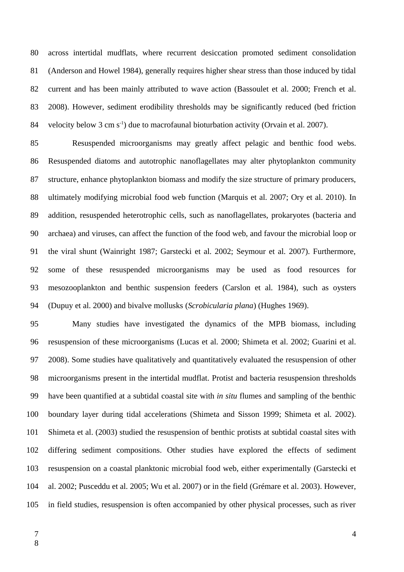across intertidal mudflats, where recurrent desiccation promoted sediment consolidation (Anderson and Howel 1984), generally requires higher shear stress than those induced by tidal current and has been mainly attributed to wave action (Bassoulet et al. 2000; French et al. 2008). However, sediment erodibility thresholds may be significantly reduced (bed friction velocity below 3 cm  $s^{-1}$ ) due to macrofaunal bioturbation activity (Orvain et al. 2007). 80 81 82 83 84

Resuspended microorganisms may greatly affect pelagic and benthic food webs. Resuspended diatoms and autotrophic nanoflagellates may alter phytoplankton community structure, enhance phytoplankton biomass and modify the size structure of primary producers, ultimately modifying microbial food web function (Marquis et al. 2007; Ory et al. 2010). In addition, resuspended heterotrophic cells, such as nanoflagellates, prokaryotes (bacteria and archaea) and viruses, can affect the function of the food web, and favour the microbial loop or the viral shunt (Wainright 1987; Garstecki et al. 2002; Seymour et al. 2007). Furthermore, some of these resuspended microorganisms may be used as food resources for mesozooplankton and benthic suspension feeders (Carslon et al. 1984), such as oysters (Dupuy et al. 2000) and bivalve mollusks (*Scrobicularia plana*) (Hughes 1969). 85 86 87 88 89 90 91 92 93 94

Many studies have investigated the dynamics of the MPB biomass, including resuspension of these microorganisms (Lucas et al. 2000; Shimeta et al. 2002; Guarini et al. 2008). Some studies have qualitatively and quantitatively evaluated the resuspension of other microorganisms present in the intertidal mudflat. Protist and bacteria resuspension thresholds have been quantified at a subtidal coastal site with *in situ* flumes and sampling of the benthic boundary layer during tidal accelerations (Shimeta and Sisson 1999; Shimeta et al. 2002). Shimeta et al. (2003) studied the resuspension of benthic protists at subtidal coastal sites with differing sediment compositions. Other studies have explored the effects of sediment resuspension on a coastal planktonic microbial food web, either experimentally (Garstecki et al. 2002; Pusceddu et al. 2005; Wu et al. 2007) or in the field (Grémare et al. 2003). However, in field studies, resuspension is often accompanied by other physical processes, such as river 95 96 97 98 99 100 101 102 103 104 105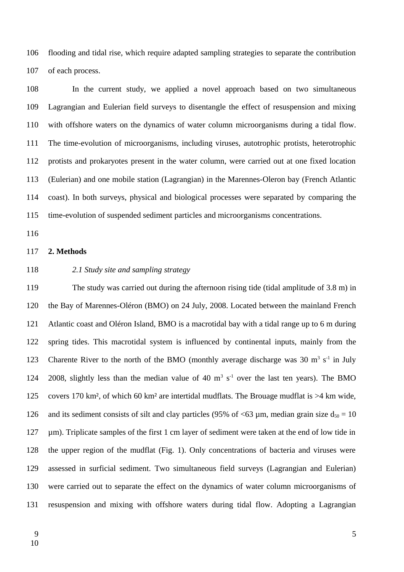flooding and tidal rise, which require adapted sampling strategies to separate the contribution of each process. 106 107

In the current study, we applied a novel approach based on two simultaneous Lagrangian and Eulerian field surveys to disentangle the effect of resuspension and mixing with offshore waters on the dynamics of water column microorganisms during a tidal flow. The time-evolution of microorganisms, including viruses, autotrophic protists, heterotrophic protists and prokaryotes present in the water column, were carried out at one fixed location (Eulerian) and one mobile station (Lagrangian) in the Marennes-Oleron bay (French Atlantic coast). In both surveys, physical and biological processes were separated by comparing the time-evolution of suspended sediment particles and microorganisms concentrations. 108 109 110 111 112 113 114 115

116

#### **2. Methods** 117

118

## *2.1 Study site and sampling strategy*

The study was carried out during the afternoon rising tide (tidal amplitude of 3.8 m) in the Bay of Marennes-Oléron (BMO) on 24 July, 2008. Located between the mainland French Atlantic coast and Oléron Island, BMO is a macrotidal bay with a tidal range up to 6 m during spring tides. This macrotidal system is influenced by continental inputs, mainly from the Charente River to the north of the BMO (monthly average discharge was 30  $m^3 s^{-1}$  in July 2008, slightly less than the median value of 40  $m^3 s^{-1}$  over the last ten years). The BMO covers 170 km<sup>2</sup>, of which 60 km<sup>2</sup> are intertidal mudflats. The Brouage mudflat is  $>4$  km wide, and its sediment consists of silt and clay particles (95% of  $\leq 63$  µm, median grain size  $d_{50} = 10$ µm). Triplicate samples of the first 1 cm layer of sediment were taken at the end of low tide in the upper region of the mudflat (Fig. 1). Only concentrations of bacteria and viruses were assessed in surficial sediment. Two simultaneous field surveys (Lagrangian and Eulerian) were carried out to separate the effect on the dynamics of water column microorganisms of resuspension and mixing with offshore waters during tidal flow. Adopting a Lagrangian 119 120 121 122 123 124 125 126 127 128 129 130 131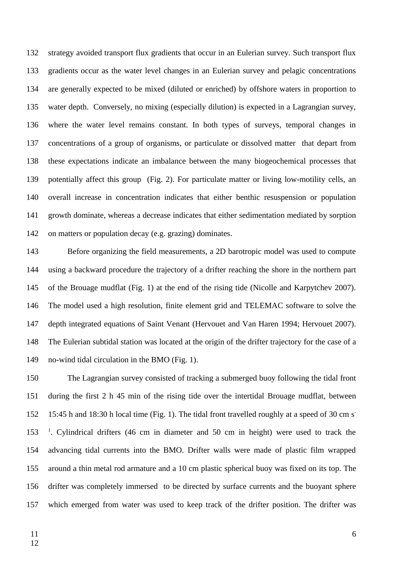strategy avoided transport flux gradients that occur in an Eulerian survey. Such transport flux gradients occur as the water level changes in an Eulerian survey and pelagic concentrations are generally expected to be mixed (diluted or enriched) by offshore waters in proportion to water depth. Conversely, no mixing (especially dilution) is expected in a Lagrangian survey, where the water level remains constant. In both types of surveys, temporal changes in concentrations of a group of organisms, or particulate or dissolved matter that depart from these expectations indicate an imbalance between the many biogeochemical processes that potentially affect this group (Fig. 2). For particulate matter or living low-motility cells, an overall increase in concentration indicates that either benthic resuspension or population growth dominate, whereas a decrease indicates that either sedimentation mediated by sorption on matters or population decay (e.g. grazing) dominates. 132 133 134 135 136 137 138 139 140 141 142

Before organizing the field measurements, a 2D barotropic model was used to compute using a backward procedure the trajectory of a drifter reaching the shore in the northern part of the Brouage mudflat (Fig. 1) at the end of the rising tide (Nicolle and Karpytchev 2007). The model used a high resolution, finite element grid and TELEMAC software to solve the depth integrated equations of Saint Venant (Hervouet and Van Haren 1994; Hervouet 2007). The Eulerian subtidal station was located at the origin of the drifter trajectory for the case of a no-wind tidal circulation in the BMO (Fig. 1). 143 144 145 146 147 148 149

The Lagrangian survey consisted of tracking a submerged buoy following the tidal front during the first 2 h 45 min of the rising tide over the intertidal Brouage mudflat, between 15:45 h and 18:30 h local time (Fig. 1). The tidal front travelled roughly at a speed of 30 cm s - <sup>1</sup>. Cylindrical drifters (46 cm in diameter and 50 cm in height) were used to track the advancing tidal currents into the BMO. Drifter walls were made of plastic film wrapped around a thin metal rod armature and a 10 cm plastic spherical buoy was fixed on its top. The drifter was completely immersed to be directed by surface currents and the buoyant sphere which emerged from water was used to keep track of the drifter position. The drifter was 150 151 152 153 154 155 156 157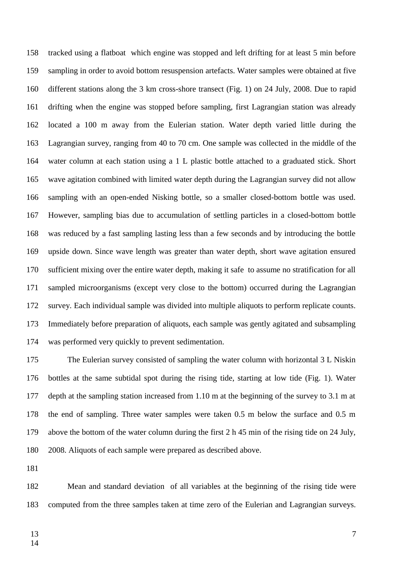tracked using a flatboat which engine was stopped and left drifting for at least 5 min before sampling in order to avoid bottom resuspension artefacts. Water samples were obtained at five different stations along the 3 km cross-shore transect (Fig. 1) on 24 July, 2008. Due to rapid drifting when the engine was stopped before sampling, first Lagrangian station was already located a 100 m away from the Eulerian station. Water depth varied little during the Lagrangian survey, ranging from 40 to 70 cm. One sample was collected in the middle of the water column at each station using a 1 L plastic bottle attached to a graduated stick. Short wave agitation combined with limited water depth during the Lagrangian survey did not allow sampling with an open-ended Nisking bottle, so a smaller closed-bottom bottle was used. However, sampling bias due to accumulation of settling particles in a closed-bottom bottle was reduced by a fast sampling lasting less than a few seconds and by introducing the bottle upside down. Since wave length was greater than water depth, short wave agitation ensured sufficient mixing over the entire water depth, making it safe to assume no stratification for all sampled microorganisms (except very close to the bottom) occurred during the Lagrangian survey. Each individual sample was divided into multiple aliquots to perform replicate counts. Immediately before preparation of aliquots, each sample was gently agitated and subsampling was performed very quickly to prevent sedimentation. 158 159 160 161 162 163 164 165 166 167 168 169 170 171 172 173 174

The Eulerian survey consisted of sampling the water column with horizontal 3 L Niskin bottles at the same subtidal spot during the rising tide, starting at low tide (Fig. 1). Water depth at the sampling station increased from 1.10 m at the beginning of the survey to 3.1 m at the end of sampling. Three water samples were taken 0.5 m below the surface and 0.5 m above the bottom of the water column during the first 2 h 45 min of the rising tide on 24 July, 2008. Aliquots of each sample were prepared as described above. 175 176 177 178 179 180

181

Mean and standard deviation of all variables at the beginning of the rising tide were computed from the three samples taken at time zero of the Eulerian and Lagrangian surveys. 182 183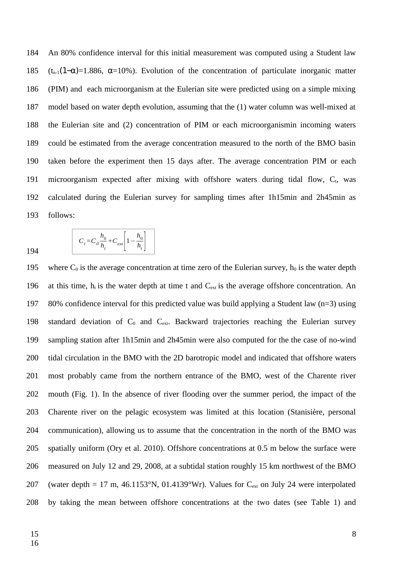An 80% confidence interval for this initial measurement was computed using a Student law (t<sub>n-1</sub>(1- $\alpha$ )=1.886,  $\alpha$ =10%). Evolution of the concentration of particulate inorganic matter (PIM) and each microorganism at the Eulerian site were predicted using on a simple mixing model based on water depth evolution, assuming that the (1) water column was well-mixed at the Eulerian site and (2) concentration of PIM or each microorganismin incoming waters could be estimated from the average concentration measured to the north of the BMO basin taken before the experiment then 15 days after. The average concentration PIM or each microorganism expected after mixing with offshore waters during tidal flow,  $C_t$ , was calculated during the Eulerian survey for sampling times after 1h15min and 2h45min as follows: 184 185 186 187 188 189 190 191 192 193

$$
C_t = C_0 \frac{h_0}{h_t} + C_{ext} \left[ 1 - \frac{h_0}{h_t} \right]
$$

where  $C_0$  is the average concentration at time zero of the Eulerian survey,  $h_0$  is the water depth at this time,  $h_t$  is the water depth at time t and  $C_{ext}$  is the average offshore concentration. An 80% confidence interval for this predicted value was build applying a Student law ( $n=3$ ) using standard deviation of  $C_0$  and  $C_{ext}$ . Backward trajectories reaching the Eulerian survey sampling station after 1h15min and 2h45min were also computed for the the case of no-wind tidal circulation in the BMO with the 2D barotropic model and indicated that offshore waters most probably came from the northern entrance of the BMO, west of the Charente river mouth (Fig. 1). In the absence of river flooding over the summer period, the impact of the Charente river on the pelagic ecosystem was limited at this location (Stanisière, personal communication), allowing us to assume that the concentration in the north of the BMO was spatially uniform (Ory et al. 2010). Offshore concentrations at 0.5 m below the surface were measured on July 12 and 29, 2008, at a subtidal station roughly 15 km northwest of the BMO (water depth = 17 m, 46.1153°N, 01.4139°Wr). Values for  $C_{ext}$  on July 24 were interpolated by taking the mean between offshore concentrations at the two dates (see Table 1) and 195 196 197 198 199 200 201 202 203 204 205 206 207 208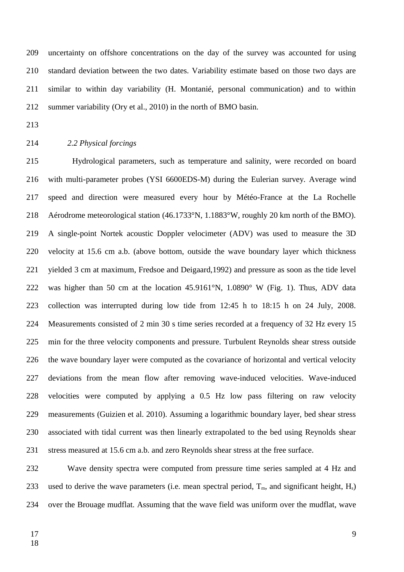uncertainty on offshore concentrations on the day of the survey was accounted for using standard deviation between the two dates. Variability estimate based on those two days are similar to within day variability (H. Montanié, personal communication) and to within summer variability (Ory et al., 2010) in the north of BMO basin. 209 210 211 212

213

#### *2.2 Physical forcings* 214

Hydrological parameters, such as temperature and salinity, were recorded on board with multi-parameter probes (YSI 6600EDS-M) during the Eulerian survey. Average wind speed and direction were measured every hour by Météo-France at the La Rochelle Aérodrome meteorological station (46.1733°N, 1.1883°W, roughly 20 km north of the BMO). A single-point Nortek acoustic Doppler velocimeter (ADV) was used to measure the 3D velocity at 15.6 cm a.b. (above bottom, outside the wave boundary layer which thickness yielded 3 cm at maximum, Fredsoe and Deigaard,1992) and pressure as soon as the tide level was higher than 50 cm at the location 45.9161°N, 1.0890° W (Fig. 1). Thus, ADV data collection was interrupted during low tide from 12:45 h to 18:15 h on 24 July, 2008. Measurements consisted of 2 min 30 s time series recorded at a frequency of 32 Hz every 15 min for the three velocity components and pressure. Turbulent Reynolds shear stress outside the wave boundary layer were computed as the covariance of horizontal and vertical velocity deviations from the mean flow after removing wave-induced velocities. Wave-induced velocities were computed by applying a 0.5 Hz low pass filtering on raw velocity measurements (Guizien et al. 2010). Assuming a logarithmic boundary layer, bed shear stress associated with tidal current was then linearly extrapolated to the bed using Reynolds shear stress measured at 15.6 cm a.b. and zero Reynolds shear stress at the free surface. 215 216 217 218 219 220 221 222 223 224 225 226 227 228 229 230 231

Wave density spectra were computed from pressure time series sampled at 4 Hz and used to derive the wave parameters (i.e. mean spectral period,  $T_m$ , and significant height,  $H_s$ ) over the Brouage mudflat. Assuming that the wave field was uniform over the mudflat, wave 232 233 234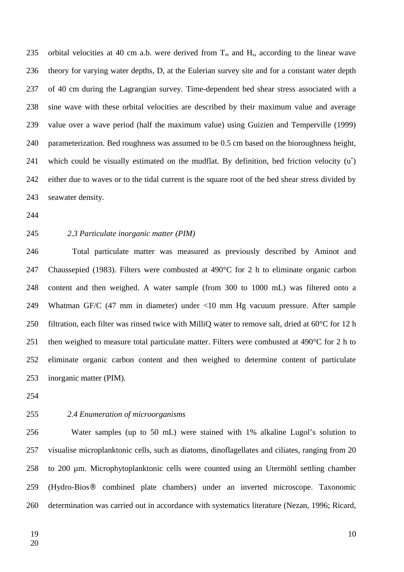orbital velocities at 40 cm a.b. were derived from  $T_m$  and  $H_s$ , according to the linear wave theory for varying water depths, D, at the Eulerian survey site and for a constant water depth of 40 cm during the Lagrangian survey. Time-dependent bed shear stress associated with a sine wave with these orbital velocities are described by their maximum value and average value over a wave period (half the maximum value) using Guizien and Temperville (1999) parameterization. Bed roughness was assumed to be 0.5 cm based on the bioroughness height, which could be visually estimated on the mudflat. By definition, bed friction velocity (u<sup>\*</sup>) either due to waves or to the tidal current is the square root of the bed shear stress divided by seawater density. 235 236 237 238 239 240 241 242 243

244

245

## *2.3 Particulate inorganic matter (PIM)*

Total particulate matter was measured as previously described by Aminot and Chaussepied (1983). Filters were combusted at 490°C for 2 h to eliminate organic carbon content and then weighed. A water sample (from 300 to 1000 mL) was filtered onto a Whatman GF/C (47 mm in diameter) under <10 mm Hg vacuum pressure. After sample filtration, each filter was rinsed twice with MilliQ water to remove salt, dried at 60°C for 12 h then weighed to measure total particulate matter. Filters were combusted at 490°C for 2 h to eliminate organic carbon content and then weighed to determine content of particulate inorganic matter (PIM). 246 247 248 249 250 251 252 253

254

#### *2.4 Enumeration of microorganisms* 255

Water samples (up to 50 mL) were stained with 1% alkaline Lugol's solution to visualise microplanktonic cells, such as diatoms, dinoflagellates and ciliates, ranging from 20 to 200 µm. Microphytoplanktonic cells were counted using an Utermöhl settling chamber (Hydro-Bios® combined plate chambers) under an inverted microscope. Taxonomic determination was carried out in accordance with systematics literature (Nezan, 1996; Ricard, 256 257 258 259 260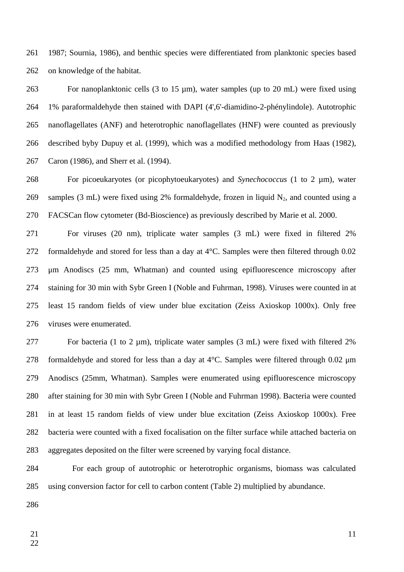1987; Sournia, 1986), and benthic species were differentiated from planktonic species based on knowledge of the habitat. 261 262

For nanoplanktonic cells (3 to 15 µm), water samples (up to 20 mL) were fixed using 1% paraformaldehyde then stained with DAPI (4',6'-diamidino-2-phénylindole). Autotrophic nanoflagellates (ANF) and heterotrophic nanoflagellates (HNF) were counted as previously described byby Dupuy et al. (1999), which was a modified methodology from Haas (1982), Caron (1986), and Sherr et al. (1994). 263 264 265 266 267

For picoeukaryotes (or picophytoeukaryotes) and *Synechococcus* (1 to 2 µm), water samples (3 mL) were fixed using 2% formaldehyde, frozen in liquid  $N_2$ , and counted using a FACSCan flow cytometer (Bd-Bioscience) as previously described by Marie et al. 2000. 268 269 270

For viruses (20 nm), triplicate water samples (3 mL) were fixed in filtered 2% formaldehyde and stored for less than a day at 4°C. Samples were then filtered through 0.02 μm Anodiscs (25 mm, Whatman) and counted using epifluorescence microscopy after staining for 30 min with Sybr Green I (Noble and Fuhrman, 1998). Viruses were counted in at least 15 random fields of view under blue excitation (Zeiss Axioskop 1000x). Only free viruses were enumerated. 271 272 273 274 275 276

For bacteria (1 to 2  $\mu$ m), triplicate water samples (3 mL) were fixed with filtered 2% formaldehyde and stored for less than a day at  $4^{\circ}$ C. Samples were filtered through 0.02  $\mu$ m Anodiscs (25mm, Whatman). Samples were enumerated using epifluorescence microscopy after staining for 30 min with Sybr Green I (Noble and Fuhrman 1998). Bacteria were counted in at least 15 random fields of view under blue excitation (Zeiss Axioskop 1000x). Free bacteria were counted with a fixed focalisation on the filter surface while attached bacteria on aggregates deposited on the filter were screened by varying focal distance. 277 278 279 280 281 282 283

For each group of autotrophic or heterotrophic organisms, biomass was calculated using conversion factor for cell to carbon content (Table 2) multiplied by abundance. 284 285

286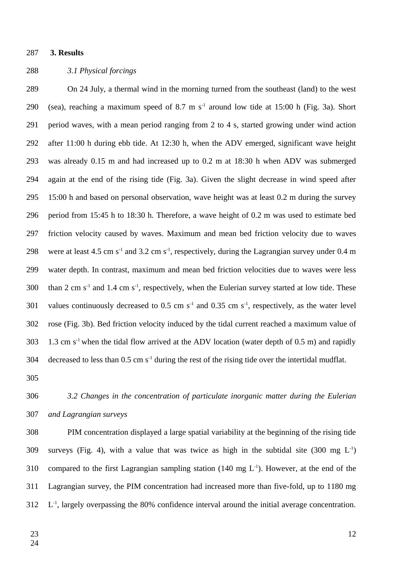#### **3. Results** 287

#### *3.1 Physical forcings* 288

On 24 July, a thermal wind in the morning turned from the southeast (land) to the west (sea), reaching a maximum speed of 8.7 m  $s<sup>-1</sup>$  around low tide at 15:00 h (Fig. 3a). Short period waves, with a mean period ranging from 2 to 4 s, started growing under wind action after 11:00 h during ebb tide. At 12:30 h, when the ADV emerged, significant wave height was already 0.15 m and had increased up to 0.2 m at 18:30 h when ADV was submerged again at the end of the rising tide (Fig. 3a). Given the slight decrease in wind speed after 15:00 h and based on personal observation, wave height was at least 0.2 m during the survey period from 15:45 h to 18:30 h. Therefore, a wave height of 0.2 m was used to estimate bed friction velocity caused by waves. Maximum and mean bed friction velocity due to waves were at least 4.5 cm s<sup>-1</sup> and 3.2 cm s<sup>-1</sup>, respectively, during the Lagrangian survey under 0.4 m water depth. In contrast, maximum and mean bed friction velocities due to waves were less than 2 cm  $s<sup>-1</sup>$  and 1.4 cm  $s<sup>-1</sup>$ , respectively, when the Eulerian survey started at low tide. These values continuously decreased to  $0.5$  cm s<sup>-1</sup> and  $0.35$  cm s<sup>-1</sup>, respectively, as the water level rose (Fig. 3b). Bed friction velocity induced by the tidal current reached a maximum value of 1.3 cm  $s<sup>-1</sup>$  when the tidal flow arrived at the ADV location (water depth of 0.5 m) and rapidly decreased to less than  $0.5 \text{ cm s}^{-1}$  during the rest of the rising tide over the intertidal mudflat. 289 290 291 292 293 294 295 296 297 298 299 300 301 302 303 304

305

*3.2 Changes in the concentration of particulate inorganic matter during the Eulerian and Lagrangian surveys* 306 307

PIM concentration displayed a large spatial variability at the beginning of the rising tide surveys (Fig. 4), with a value that was twice as high in the subtidal site (300 mg  $L^{-1}$ ) compared to the first Lagrangian sampling station (140 mg  $L^{-1}$ ). However, at the end of the Lagrangian survey, the PIM concentration had increased more than five-fold, up to 1180 mg L<sup>-1</sup>, largely overpassing the 80% confidence interval around the initial average concentration. 308 309 310 311 312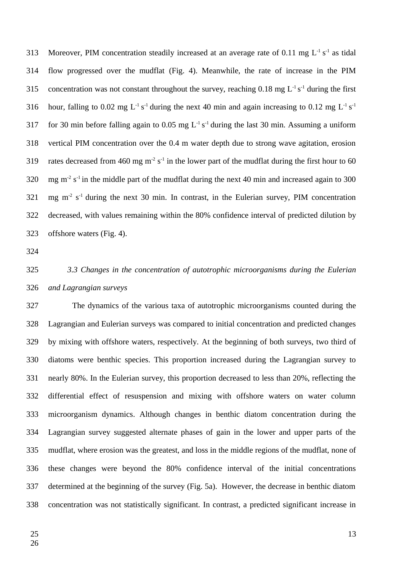Moreover, PIM concentration steadily increased at an average rate of 0.11 mg  $L^{-1} s^{-1}$  as tidal flow progressed over the mudflat (Fig. 4). Meanwhile, the rate of increase in the PIM concentration was not constant throughout the survey, reaching 0.18 mg  $L^{-1} s^{-1}$  during the first hour, falling to 0.02 mg  $L^{-1} s^{-1}$  during the next 40 min and again increasing to 0.12 mg  $L^{-1} s^{-1}$ for 30 min before falling again to  $0.05$  mg L<sup>-1</sup> s<sup>-1</sup> during the last 30 min. Assuming a uniform vertical PIM concentration over the 0.4 m water depth due to strong wave agitation, erosion rates decreased from 460 mg  $m^{-2} s^{-1}$  in the lower part of the mudflat during the first hour to 60 mg  $m<sup>2</sup>$  s<sup>-1</sup> in the middle part of the mudflat during the next 40 min and increased again to 300 mg  $m<sup>2</sup> s<sup>-1</sup>$  during the next 30 min. In contrast, in the Eulerian survey, PIM concentration decreased, with values remaining within the 80% confidence interval of predicted dilution by offshore waters (Fig. 4). 313 314 315 316 317 318 319 320 321 322 323

324

*3.3 Changes in the concentration of autotrophic microorganisms during the Eulerian and Lagrangian surveys* 325 326

The dynamics of the various taxa of autotrophic microorganisms counted during the Lagrangian and Eulerian surveys was compared to initial concentration and predicted changes by mixing with offshore waters, respectively. At the beginning of both surveys, two third of diatoms were benthic species. This proportion increased during the Lagrangian survey to nearly 80%. In the Eulerian survey, this proportion decreased to less than 20%, reflecting the differential effect of resuspension and mixing with offshore waters on water column microorganism dynamics. Although changes in benthic diatom concentration during the Lagrangian survey suggested alternate phases of gain in the lower and upper parts of the mudflat, where erosion was the greatest, and loss in the middle regions of the mudflat, none of these changes were beyond the 80% confidence interval of the initial concentrations determined at the beginning of the survey (Fig. 5a). However, the decrease in benthic diatom concentration was not statistically significant. In contrast, a predicted significant increase in 327 328 329 330 331 332 333 334 335 336 337 338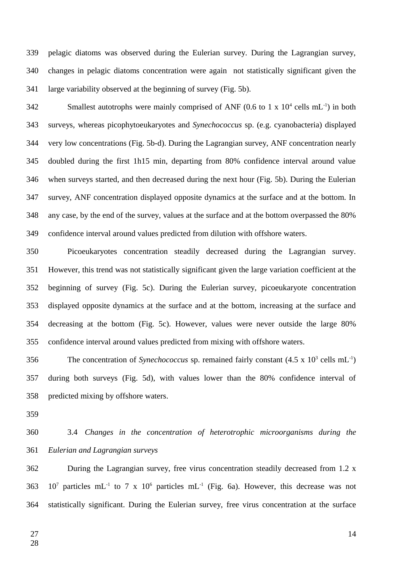pelagic diatoms was observed during the Eulerian survey. During the Lagrangian survey, changes in pelagic diatoms concentration were again not statistically significant given the large variability observed at the beginning of survey (Fig. 5b). 339 340 341

Smallest autotrophs were mainly comprised of ANF (0.6 to 1 x  $10^4$  cells mL<sup>-1</sup>) in both surveys, whereas picophytoeukaryotes and *Synechococcus* sp. (e.g. cyanobacteria) displayed very low concentrations (Fig. 5b-d). During the Lagrangian survey, ANF concentration nearly doubled during the first 1h15 min, departing from 80% confidence interval around value when surveys started, and then decreased during the next hour (Fig. 5b). During the Eulerian survey, ANF concentration displayed opposite dynamics at the surface and at the bottom. In any case, by the end of the survey, values at the surface and at the bottom overpassed the 80% confidence interval around values predicted from dilution with offshore waters. 342 343 344 345 346 347 348 349

Picoeukaryotes concentration steadily decreased during the Lagrangian survey. However, this trend was not statistically significant given the large variation coefficient at the beginning of survey (Fig. 5c). During the Eulerian survey, picoeukaryote concentration displayed opposite dynamics at the surface and at the bottom, increasing at the surface and decreasing at the bottom (Fig. 5c). However, values were never outside the large 80% confidence interval around values predicted from mixing with offshore waters. 350 351 352 353 354 355

The concentration of *Synechococcus* sp. remained fairly constant  $(4.5 \times 10^3 \text{ cells } mL^{-1})$ during both surveys (Fig. 5d), with values lower than the 80% confidence interval of predicted mixing by offshore waters. 356 357 358

359

3.4 *Changes in the concentration of heterotrophic microorganisms during the Eulerian and Lagrangian surveys* 360 361

During the Lagrangian survey, free virus concentration steadily decreased from 1.2 x  $10^7$  particles mL<sup>-1</sup> to 7 x  $10^6$  particles mL<sup>-1</sup> (Fig. 6a). However, this decrease was not statistically significant. During the Eulerian survey, free virus concentration at the surface 362 363 364

27 28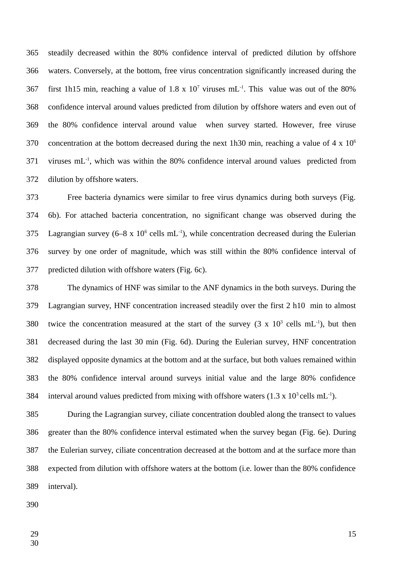steadily decreased within the 80% confidence interval of predicted dilution by offshore waters. Conversely, at the bottom, free virus concentration significantly increased during the first 1h15 min, reaching a value of 1.8 x  $10^7$  viruses mL<sup>-1</sup>. This value was out of the 80% confidence interval around values predicted from dilution by offshore waters and even out of the 80% confidence interval around value when survey started. However, free viruse concentration at the bottom decreased during the next 1h30 min, reaching a value of 4 x  $10^6$ viruses mL<sup>-1</sup>, which was within the 80% confidence interval around values predicted from dilution by offshore waters. 365 366 367 368 369 370 371 372

Free bacteria dynamics were similar to free virus dynamics during both surveys (Fig. 6b). For attached bacteria concentration, no significant change was observed during the Lagrangian survey (6–8 x  $10^6$  cells mL<sup>-1</sup>), while concentration decreased during the Eulerian survey by one order of magnitude, which was still within the 80% confidence interval of predicted dilution with offshore waters (Fig. 6c). 373 374 375 376 377

The dynamics of HNF was similar to the ANF dynamics in the both surveys. During the Lagrangian survey, HNF concentration increased steadily over the first 2 h10 min to almost twice the concentration measured at the start of the survey  $(3 \times 10^3 \text{ cells } mL^{-1})$ , but then decreased during the last 30 min (Fig. 6d). During the Eulerian survey, HNF concentration displayed opposite dynamics at the bottom and at the surface, but both values remained within the 80% confidence interval around surveys initial value and the large 80% confidence interval around values predicted from mixing with offshore waters  $(1.3 \times 10^3 \text{ cells mL}^{-1})$ . 378 379 380 381 382 383 384

During the Lagrangian survey, ciliate concentration doubled along the transect to values greater than the 80% confidence interval estimated when the survey began (Fig. 6e). During the Eulerian survey, ciliate concentration decreased at the bottom and at the surface more than expected from dilution with offshore waters at the bottom (i.e. lower than the 80% confidence interval). 385 386 387 388 389

390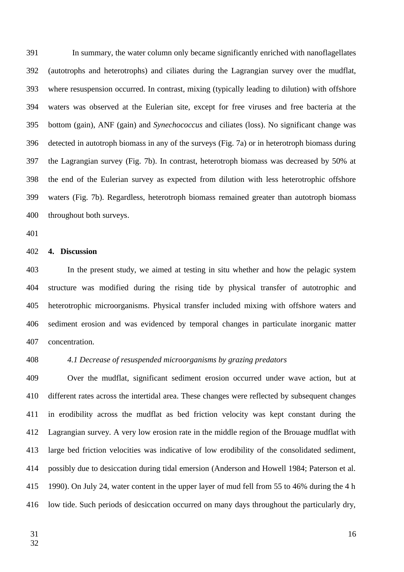In summary, the water column only became significantly enriched with nanoflagellates (autotrophs and heterotrophs) and ciliates during the Lagrangian survey over the mudflat, where resuspension occurred. In contrast, mixing (typically leading to dilution) with offshore waters was observed at the Eulerian site, except for free viruses and free bacteria at the bottom (gain), ANF (gain) and *Synechococcus* and ciliates (loss). No significant change was detected in autotroph biomass in any of the surveys (Fig. 7a) or in heterotroph biomass during the Lagrangian survey (Fig. 7b). In contrast, heterotroph biomass was decreased by 50% at the end of the Eulerian survey as expected from dilution with less heterotrophic offshore waters (Fig. 7b). Regardless, heterotroph biomass remained greater than autotroph biomass throughout both surveys. 391 392 393 394 395 396 397 398 399 400

401

#### **4. Discussion** 402

In the present study, we aimed at testing in situ whether and how the pelagic system structure was modified during the rising tide by physical transfer of autotrophic and heterotrophic microorganisms. Physical transfer included mixing with offshore waters and sediment erosion and was evidenced by temporal changes in particulate inorganic matter concentration. 403 404 405 406 407

408

## *4.1 Decrease of resuspended microorganisms by grazing predators*

Over the mudflat, significant sediment erosion occurred under wave action, but at different rates across the intertidal area. These changes were reflected by subsequent changes in erodibility across the mudflat as bed friction velocity was kept constant during the Lagrangian survey. A very low erosion rate in the middle region of the Brouage mudflat with large bed friction velocities was indicative of low erodibility of the consolidated sediment, possibly due to desiccation during tidal emersion (Anderson and Howell 1984; Paterson et al. 1990). On July 24, water content in the upper layer of mud fell from 55 to 46% during the 4 h low tide. Such periods of desiccation occurred on many days throughout the particularly dry, 409 410 411 412 413 414 415 416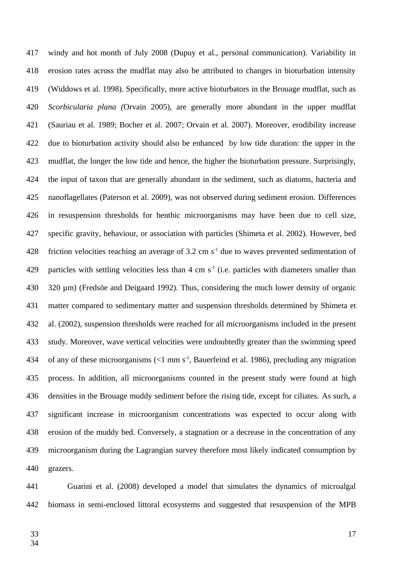windy and hot month of July 2008 (Dupuy et al., personal communication). Variability in erosion rates across the mudflat may also be attributed to changes in bioturbation intensity (Widdows et al. 1998). Specifically, more active bioturbators in the Brouage mudflat, such as *Scorbicularia plana (*Orvain 2005), are generally more abundant in the upper mudflat (Sauriau et al. 1989; Bocher et al. 2007; Orvain et al. 2007). Moreover, erodibility increase due to bioturbation activity should also be enhanced by low tide duration: the upper in the mudflat, the longer the low tide and hence, the higher the bioturbation pressure. Surprisingly, the input of taxon that are generally abundant in the sediment, such as diatoms, bacteria and nanoflagellates (Paterson et al. 2009), was not observed during sediment erosion. Differences in resuspension thresholds for benthic microorganisms may have been due to cell size, specific gravity, behaviour, or association with particles (Shimeta et al. 2002). However, bed friction velocities reaching an average of 3.2 cm  $s<sup>-1</sup>$  due to waves prevented sedimentation of particles with settling velocities less than  $4 \text{ cm s}^{-1}$  (i.e. particles with diameters smaller than 320 µm) (Fredsöe and Deigaard 1992). Thus, considering the much lower density of organic matter compared to sedimentary matter and suspension thresholds determined by Shimeta et al. (2002), suspension thresholds were reached for all microorganisms included in the present study. Moreover, wave vertical velocities were undoubtedly greater than the swimming speed of any of these microorganisms  $($  <1 mm s<sup>-1</sup>, Bauerfeind et al. 1986), precluding any migration process. In addition, all microorganisms counted in the present study were found at high densities in the Brouage muddy sediment before the rising tide, except for ciliates. As such, a significant increase in microorganism concentrations was expected to occur along with erosion of the muddy bed. Conversely, a stagnation or a decrease in the concentration of any microorganism during the Lagrangian survey therefore most likely indicated consumption by grazers. 417 418 419 420 421 422 423 424 425 426 427 428 429 430 431 432 433 434 435 436 437 438 439 440

Guarini et al. (2008) developed a model that simulates the dynamics of microalgal biomass in semi-enclosed littoral ecosystems and suggested that resuspension of the MPB 441 442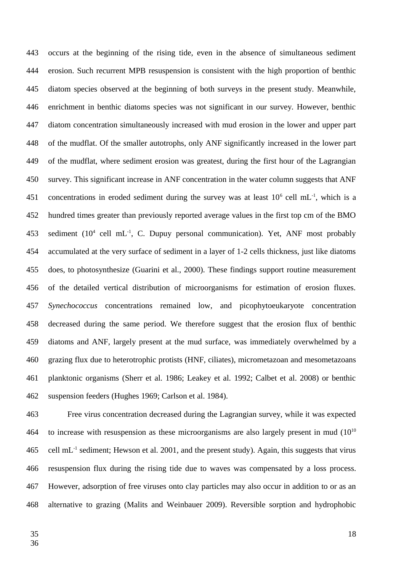occurs at the beginning of the rising tide, even in the absence of simultaneous sediment erosion. Such recurrent MPB resuspension is consistent with the high proportion of benthic diatom species observed at the beginning of both surveys in the present study. Meanwhile, enrichment in benthic diatoms species was not significant in our survey. However, benthic diatom concentration simultaneously increased with mud erosion in the lower and upper part of the mudflat. Of the smaller autotrophs, only ANF significantly increased in the lower part of the mudflat, where sediment erosion was greatest, during the first hour of the Lagrangian survey. This significant increase in ANF concentration in the water column suggests that ANF concentrations in eroded sediment during the survey was at least  $10^6$  cell mL<sup>-1</sup>, which is a hundred times greater than previously reported average values in the first top cm of the BMO sediment  $(10^4 \text{ cell } mL^{-1}$ , C. Dupuy personal communication). Yet, ANF most probably accumulated at the very surface of sediment in a layer of 1-2 cells thickness, just like diatoms does, to photosynthesize (Guarini et al., 2000). These findings support routine measurement of the detailed vertical distribution of microorganisms for estimation of erosion fluxes. *Synechococcus* concentrations remained low, and picophytoeukaryote concentration decreased during the same period. We therefore suggest that the erosion flux of benthic diatoms and ANF, largely present at the mud surface, was immediately overwhelmed by a grazing flux due to heterotrophic protists (HNF, ciliates), micrometazoan and mesometazoans planktonic organisms (Sherr et al. 1986; Leakey et al. 1992; Calbet et al. 2008) or benthic suspension feeders (Hughes 1969; Carlson et al. 1984). 443 444 445 446 447 448 449 450 451 452 453 454 455 456 457 458 459 460 461 462

Free virus concentration decreased during the Lagrangian survey, while it was expected to increase with resuspension as these microorganisms are also largely present in mud  $(10^{10}$  $cell \text{ mL}^{-1}$  sediment; Hewson et al. 2001, and the present study). Again, this suggests that virus resuspension flux during the rising tide due to waves was compensated by a loss process. However, adsorption of free viruses onto clay particles may also occur in addition to or as an alternative to grazing (Malits and Weinbauer 2009). Reversible sorption and hydrophobic 463 464 465 466 467 468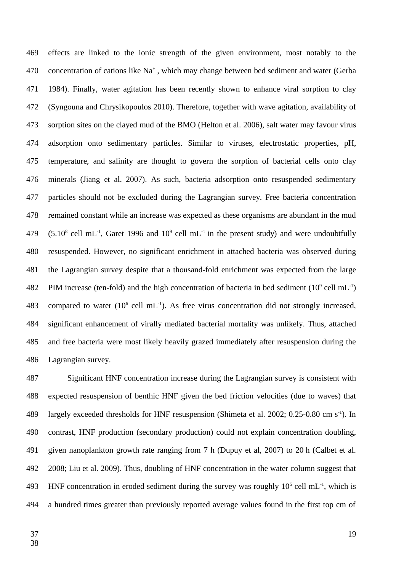effects are linked to the ionic strength of the given environment, most notably to the concentration of cations like Na<sup>+</sup>, which may change between bed sediment and water (Gerba 1984). Finally, water agitation has been recently shown to enhance viral sorption to clay (Syngouna and Chrysikopoulos 2010). Therefore, together with wave agitation, availability of sorption sites on the clayed mud of the BMO (Helton et al. 2006), salt water may favour virus adsorption onto sedimentary particles. Similar to viruses, electrostatic properties, pH, temperature, and salinity are thought to govern the sorption of bacterial cells onto clay minerals (Jiang et al. 2007). As such, bacteria adsorption onto resuspended sedimentary particles should not be excluded during the Lagrangian survey. Free bacteria concentration remained constant while an increase was expected as these organisms are abundant in the mud  $(5.10^8 \text{ cell } mL^{-1}$ , Garet 1996 and  $10^9 \text{ cell } mL^{-1}$  in the present study) and were undoubtfully resuspended. However, no significant enrichment in attached bacteria was observed during the Lagrangian survey despite that a thousand-fold enrichment was expected from the large PIM increase (ten-fold) and the high concentration of bacteria in bed sediment ( $10^9$  cell mL<sup>-1</sup>) compared to water  $(10^6 \text{ cell } mL^{-1})$ . As free virus concentration did not strongly increased, significant enhancement of virally mediated bacterial mortality was unlikely. Thus, attached and free bacteria were most likely heavily grazed immediately after resuspension during the Lagrangian survey. 469 470 471 472 473 474 475 476 477 478 479 480 481 482 483 484 485 486

Significant HNF concentration increase during the Lagrangian survey is consistent with expected resuspension of benthic HNF given the bed friction velocities (due to waves) that largely exceeded thresholds for HNF resuspension (Shimeta et al. 2002; 0.25-0.80 cm s<sup>-1</sup>). In contrast, HNF production (secondary production) could not explain concentration doubling, given nanoplankton growth rate ranging from 7 h (Dupuy et al, 2007) to 20 h (Calbet et al. 2008; Liu et al. 2009). Thus, doubling of HNF concentration in the water column suggest that HNF concentration in eroded sediment during the survey was roughly  $10^5$  cell mL<sup>-1</sup>, which is a hundred times greater than previously reported average values found in the first top cm of 487 488 489 490 491 492 493 494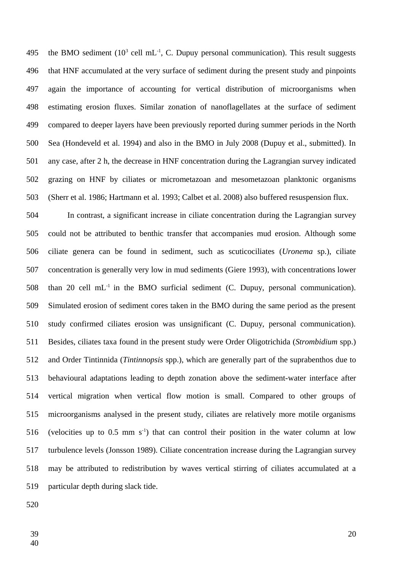the BMO sediment  $(10^3 \text{ cell } mL^{-1}$ , C. Dupuy personal communication). This result suggests that HNF accumulated at the very surface of sediment during the present study and pinpoints again the importance of accounting for vertical distribution of microorganisms when estimating erosion fluxes. Similar zonation of nanoflagellates at the surface of sediment compared to deeper layers have been previously reported during summer periods in the North Sea (Hondeveld et al. 1994) and also in the BMO in July 2008 (Dupuy et al., submitted). In any case, after 2 h, the decrease in HNF concentration during the Lagrangian survey indicated grazing on HNF by ciliates or micrometazoan and mesometazoan planktonic organisms (Sherr et al. 1986; Hartmann et al. 1993; Calbet et al. 2008) also buffered resuspension flux. 495 496 497 498 499 500 501 502 503

In contrast, a significant increase in ciliate concentration during the Lagrangian survey could not be attributed to benthic transfer that accompanies mud erosion. Although some ciliate genera can be found in sediment, such as scuticociliates (*Uronema* sp.), ciliate concentration is generally very low in mud sediments (Giere 1993), with concentrations lower than 20 cell  $mL^{-1}$  in the BMO surficial sediment (C. Dupuy, personal communication). Simulated erosion of sediment cores taken in the BMO during the same period as the present study confirmed ciliates erosion was unsignificant (C. Dupuy, personal communication). Besides, ciliates taxa found in the present study were Order Oligotrichida (*Strombidium* spp.) and Order Tintinnida (*Tintinnopsis* spp.), which are generally part of the suprabenthos due to behavioural adaptations leading to depth zonation above the sediment-water interface after vertical migration when vertical flow motion is small. Compared to other groups of microorganisms analysed in the present study, ciliates are relatively more motile organisms (velocities up to  $0.5$  mm  $s^{-1}$ ) that can control their position in the water column at low turbulence levels (Jonsson 1989). Ciliate concentration increase during the Lagrangian survey may be attributed to redistribution by waves vertical stirring of ciliates accumulated at a particular depth during slack tide. 504 505 506 507 508 509 510 511 512 513 514 515 516 517 518 519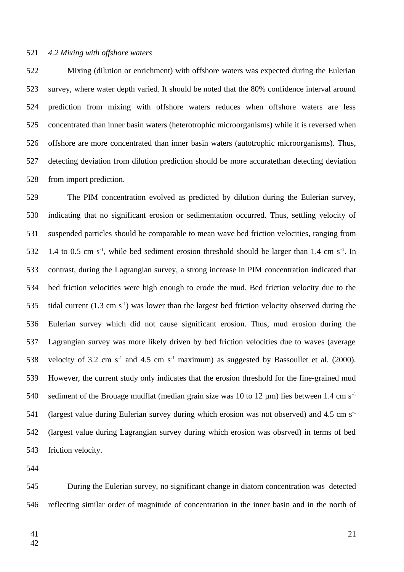#### *4.2 Mixing with offshore waters* 521

Mixing (dilution or enrichment) with offshore waters was expected during the Eulerian survey, where water depth varied. It should be noted that the 80% confidence interval around prediction from mixing with offshore waters reduces when offshore waters are less concentrated than inner basin waters (heterotrophic microorganisms) while it is reversed when offshore are more concentrated than inner basin waters (autotrophic microorganisms). Thus, detecting deviation from dilution prediction should be more accuratethan detecting deviation from import prediction. 522 523 524 525 526 527 528

The PIM concentration evolved as predicted by dilution during the Eulerian survey, indicating that no significant erosion or sedimentation occurred. Thus, settling velocity of suspended particles should be comparable to mean wave bed friction velocities, ranging from 1.4 to 0.5 cm  $s^{-1}$ , while bed sediment erosion threshold should be larger than 1.4 cm  $s^{-1}$ . In contrast, during the Lagrangian survey, a strong increase in PIM concentration indicated that bed friction velocities were high enough to erode the mud. Bed friction velocity due to the tidal current  $(1.3 \text{ cm s}^{-1})$  was lower than the largest bed friction velocity observed during the Eulerian survey which did not cause significant erosion. Thus, mud erosion during the Lagrangian survey was more likely driven by bed friction velocities due to waves (average velocity of 3.2 cm  $s^{-1}$  and 4.5 cm  $s^{-1}$  maximum) as suggested by Bassoullet et al. (2000). However, the current study only indicates that the erosion threshold for the fine-grained mud sediment of the Brouage mudflat (median grain size was 10 to 12  $\mu$ m) lies between 1.4 cm s<sup>-1</sup> (largest value during Eulerian survey during which erosion was not observed) and 4.5 cm  $s^{-1}$ (largest value during Lagrangian survey during which erosion was obsrved) in terms of bed friction velocity. 529 530 531 532 533 534 535 536 537 538 539 540 541 542 543

544

During the Eulerian survey, no significant change in diatom concentration was detected reflecting similar order of magnitude of concentration in the inner basin and in the north of 545 546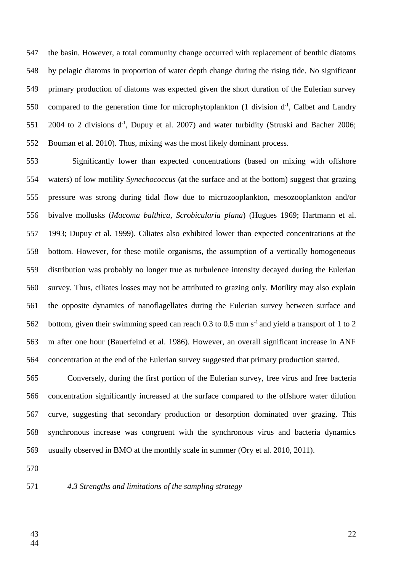the basin. However, a total community change occurred with replacement of benthic diatoms by pelagic diatoms in proportion of water depth change during the rising tide. No significant primary production of diatoms was expected given the short duration of the Eulerian survey compared to the generation time for microphytoplankton  $(1$  division  $d^{-1}$ , Calbet and Landry 2004 to 2 divisions  $d<sup>-1</sup>$ , Dupuy et al. 2007) and water turbidity (Struski and Bacher 2006; Bouman et al. 2010). Thus, mixing was the most likely dominant process. 547 548 549 550 551 552

Significantly lower than expected concentrations (based on mixing with offshore waters) of low motility *Synechococcus* (at the surface and at the bottom) suggest that grazing pressure was strong during tidal flow due to microzooplankton, mesozooplankton and/or bivalve mollusks (*Macoma balthica*, *Scrobicularia plana*) (Hugues 1969; Hartmann et al. 1993; Dupuy et al. 1999). Ciliates also exhibited lower than expected concentrations at the bottom. However, for these motile organisms, the assumption of a vertically homogeneous distribution was probably no longer true as turbulence intensity decayed during the Eulerian survey. Thus, ciliates losses may not be attributed to grazing only. Motility may also explain the opposite dynamics of nanoflagellates during the Eulerian survey between surface and bottom, given their swimming speed can reach 0.3 to 0.5 mm  $s^{-1}$  and yield a transport of 1 to 2 m after one hour (Bauerfeind et al. 1986). However, an overall significant increase in ANF concentration at the end of the Eulerian survey suggested that primary production started. 553 554 555 556 557 558 559 560 561 562 563 564

Conversely, during the first portion of the Eulerian survey, free virus and free bacteria concentration significantly increased at the surface compared to the offshore water dilution curve, suggesting that secondary production or desorption dominated over grazing. This synchronous increase was congruent with the synchronous virus and bacteria dynamics usually observed in BMO at the monthly scale in summer (Ory et al. 2010, 2011). 565 566 567 568 569

570

#### *4.3 Strengths and limitations of the sampling strategy* 571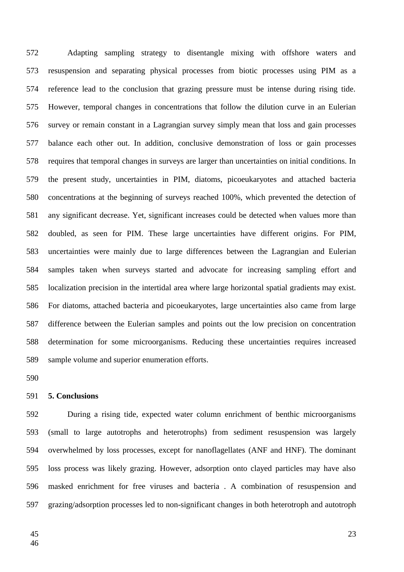Adapting sampling strategy to disentangle mixing with offshore waters and resuspension and separating physical processes from biotic processes using PIM as a reference lead to the conclusion that grazing pressure must be intense during rising tide. However, temporal changes in concentrations that follow the dilution curve in an Eulerian survey or remain constant in a Lagrangian survey simply mean that loss and gain processes balance each other out. In addition, conclusive demonstration of loss or gain processes requires that temporal changes in surveys are larger than uncertainties on initial conditions. In the present study, uncertainties in PIM, diatoms, picoeukaryotes and attached bacteria concentrations at the beginning of surveys reached 100%, which prevented the detection of any significant decrease. Yet, significant increases could be detected when values more than doubled, as seen for PIM. These large uncertainties have different origins. For PIM, uncertainties were mainly due to large differences between the Lagrangian and Eulerian samples taken when surveys started and advocate for increasing sampling effort and localization precision in the intertidal area where large horizontal spatial gradients may exist. For diatoms, attached bacteria and picoeukaryotes, large uncertainties also came from large difference between the Eulerian samples and points out the low precision on concentration determination for some microorganisms. Reducing these uncertainties requires increased sample volume and superior enumeration efforts. 572 573 574 575 576 577 578 579 580 581 582 583 584 585 586 587 588 589

590

#### **5. Conclusions** 591

During a rising tide, expected water column enrichment of benthic microorganisms (small to large autotrophs and heterotrophs) from sediment resuspension was largely overwhelmed by loss processes, except for nanoflagellates (ANF and HNF). The dominant loss process was likely grazing. However, adsorption onto clayed particles may have also masked enrichment for free viruses and bacteria . A combination of resuspension and grazing/adsorption processes led to non-significant changes in both heterotroph and autotroph 592 593 594 595 596 597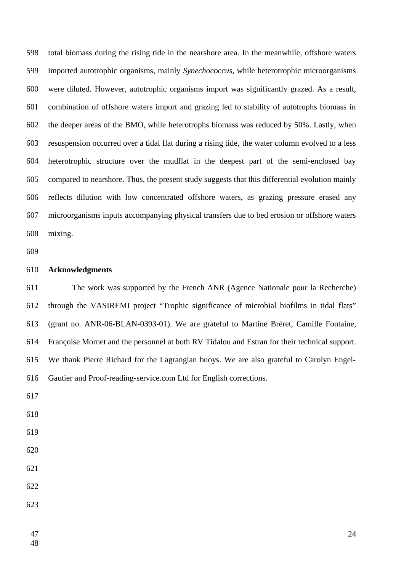total biomass during the rising tide in the nearshore area. In the meanwhile, offshore waters imported autotrophic organisms, mainly *Synechococcus,* while heterotrophic microorganisms were diluted. However, autotrophic organisms import was significantly grazed. As a result, combination of offshore waters import and grazing led to stability of autotrophs biomass in the deeper areas of the BMO, while heterotrophs biomass was reduced by 50%. Lastly, when resuspension occurred over a tidal flat during a rising tide, the water column evolved to a less heterotrophic structure over the mudflat in the deepest part of the semi-enclosed bay compared to nearshore. Thus, the present study suggests that this differential evolution mainly reflects dilution with low concentrated offshore waters, as grazing pressure erased any microorganisms inputs accompanying physical transfers due to bed erosion or offshore waters mixing. 

#### **Acknowledgments**

The work was supported by the French ANR (Agence Nationale pour la Recherche) through the VASIREMI project "Trophic significance of microbial biofilms in tidal flats" (grant no. ANR-06-BLAN-0393-01). We are grateful to Martine Bréret, Camille Fontaine, Françoise Mornet and the personnel at both RV Tidalou and Estran for their technical support. We thank Pierre Richard for the Lagrangian buoys. We are also grateful to Carolyn Engel-Gautier and Proof-reading-service.com Ltd for English corrections. 

- 
- 
- 
- 
-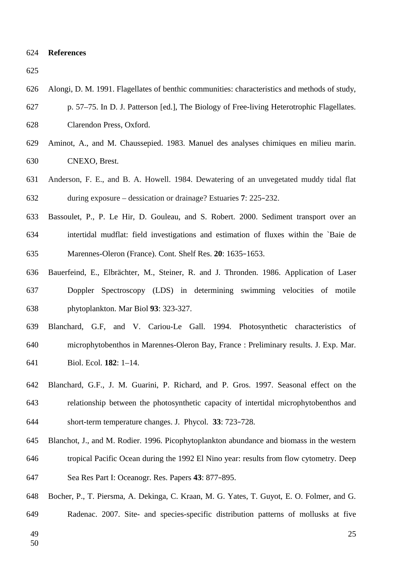#### **References** 624

625

- Alongi, D. M. 1991. Flagellates of benthic communities: characteristics and methods of study, 626
- p. 57–75. In D. J. Patterson [ed.], The Biology of Free-living Heterotrophic Flagellates. 627
- Clarendon Press, Oxford. 628
- Aminot, A., and M. Chaussepied. 1983. Manuel des analyses chimiques en milieu marin. CNEXO, Brest. 629 630
- Anderson, F. E., and B. A. Howell. 1984. Dewatering of an unvegetated muddy tidal flat during exposure – dessication or drainage? Estuaries **7**: 225–232. 631 632
- Bassoulet, P., P. Le Hir, D. Gouleau, and S. Robert. 2000. Sediment transport over an intertidal mudflat: field investigations and estimation of fluxes within the `Baie de Marennes-Oleron (France). Cont. Shelf Res. **20**: 1635–1653. 633 634 635
- Bauerfeind, E., Elbrächter, M., Steiner, R. and J. Thronden. 1986. Application of Laser Doppler Spectroscopy (LDS) in determining swimming velocities of motile phytoplankton. Mar Biol **93**: 323-327. 636 637 638
- Blanchard, G.F, and V. Cariou-Le Gall. 1994. Photosynthetic characteristics of microphytobenthos in Marennes-Oleron Bay, France : Preliminary results. J. Exp. Mar. Biol. Ecol. **182**: 1–14. 639 640 641
- Blanchard, G.F., J. M. Guarini, P. Richard, and P. Gros. 1997. Seasonal effect on the relationship between the photosynthetic capacity of intertidal microphytobenthos and short-term temperature changes. J. Phycol. **33**: 723–728. 642 643 644
- Blanchot, J., and M. Rodier. 1996. Picophytoplankton abundance and biomass in the western tropical Pacific Ocean during the 1992 El Nino year: results from flow cytometry. Deep Sea Res Part I: Oceanogr. Res. Papers **43**: 877–895. 645 646 647
- Bocher, P., T. Piersma, A. Dekinga, C. Kraan, M. G. Yates, T. Guyot, E. O. Folmer, and G. 648
- Radenac. 2007. Site- and species-specific distribution patterns of mollusks at five 649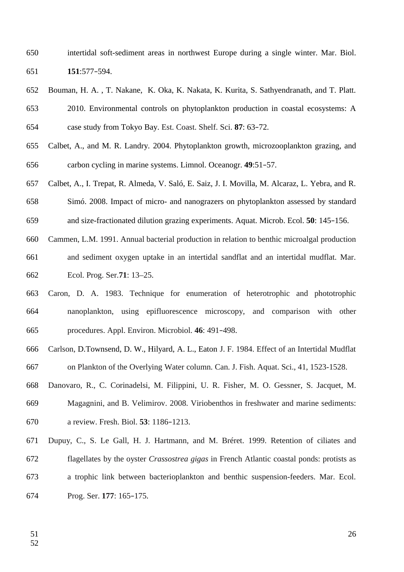- intertidal soft-sediment areas in northwest Europe during a single winter. Mar. Biol. **151**:577–594. 650 651
- Bouman, H. A. , T. Nakane, K. Oka, K. Nakata, K. Kurita, S. Sathyendranath, and T. Platt. 2010. Environmental controls on phytoplankton production in coastal ecosystems: A case study from Tokyo Bay. Est. Coast. Shelf. Sci. **87**: 63–72. 652 653 654
- Calbet, A., and M. R. Landry. 2004. Phytoplankton growth, microzooplankton grazing, and carbon cycling in marine systems. Limnol. Oceanogr. **49**:51–57. 655 656
- Calbet, A., I. Trepat, R. Almeda, V. Saló, E. Saiz, J. I. Movilla, M. Alcaraz, L. Yebra, and R. Simó. 2008. Impact of micro- and nanograzers on phytoplankton assessed by standard and size-fractionated dilution grazing experiments. Aquat. Microb. Ecol. **50**: 145–156. 657 658 659
- Cammen, L.M. 1991. Annual bacterial production in relation to benthic microalgal production 660
- and sediment oxygen uptake in an intertidal sandflat and an intertidal mudflat. Mar. Ecol. Prog. Ser.**71**: 13–25. 661 662
- Caron, D. A. 1983. Technique for enumeration of heterotrophic and phototrophic nanoplankton, using epifluorescence microscopy, and comparison with other procedures. Appl. Environ. Microbiol. **46**: 491–498. 663 664 665
- Carlson, D.Townsend, D. W., Hilyard, A. L., Eaton J. F. 1984. Effect of an Intertidal Mudflat on Plankton of the Overlying Water column. Can. J. Fish. Aquat. Sci., 41, 1523-1528. 666 667
- Danovaro, R., C. Corinadelsi, M. Filippini, U. R. Fisher, M. O. Gessner, S. Jacquet, M. Magagnini, and B. Velimirov. 2008. Viriobenthos in freshwater and marine sediments: a review. Fresh. Biol. **53**: 1186–1213. 668 669 670
- Dupuy, C., S. Le Gall, H. J. Hartmann, and M. Bréret. 1999. Retention of ciliates and flagellates by the oyster *Crassostrea gigas* in French Atlantic coastal ponds: protists as a trophic link between bacterioplankton and benthic suspension-feeders. Mar. Ecol. Prog. Ser. **177**: 165–175. 671 672 673 674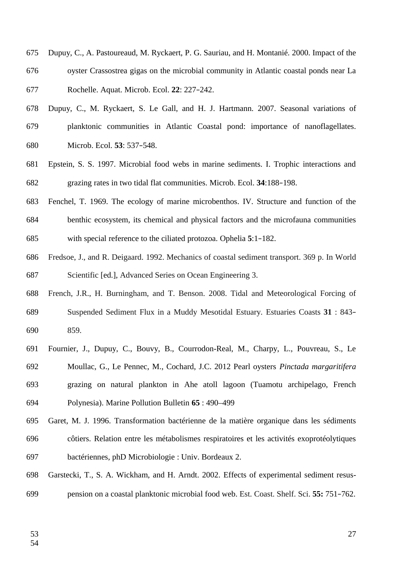- Dupuy, C., A. Pastoureaud, M. Ryckaert, P. G. Sauriau, and H. Montanié. 2000. Impact of the oyster Crassostrea gigas on the microbial community in Atlantic coastal ponds near La Rochelle. Aquat. Microb. Ecol. **22**: 227–242. 675 676 677
- Dupuy, C., M. Ryckaert, S. Le Gall, and H. J. Hartmann. 2007. Seasonal variations of planktonic communities in Atlantic Coastal pond: importance of nanoflagellates. Microb. Ecol. **53**: 537–548. 678 679 680
- Epstein, S. S. 1997. Microbial food webs in marine sediments. I. Trophic interactions and grazing rates in two tidal flat communities. Microb. Ecol. **34**:188–198. 681 682
- Fenchel, T. 1969. The ecology of marine microbenthos. IV. Structure and function of the benthic ecosystem, its chemical and physical factors and the microfauna communities with special reference to the ciliated protozoa. Ophelia **5**:1–182. 683 684 685
- Fredsoe, J., and R. Deigaard. 1992. Mechanics of coastal sediment transport. 369 p. In World Scientific [ed.], Advanced Series on Ocean Engineering 3. 686 687
- French, J.R., H. Burningham, and T. Benson. 2008. Tidal and Meteorological Forcing of Suspended Sediment Flux in a Muddy Mesotidal Estuary. Estuaries Coasts **31** : 843– 859. 688 689 690
- Fournier, J., Dupuy, C., Bouvy, B., Courrodon-Real, M., Charpy, L., Pouvreau, S., Le Moullac, G., Le Pennec, M., Cochard, J.C. 2012 Pearl oysters *Pinctada margaritifera* grazing on natural plankton in Ahe atoll lagoon (Tuamotu archipelago, French Polynesia). Marine Pollution Bulletin **65** : 490–499 691 692 693 694
- Garet, M. J. 1996. Transformation bactérienne de la matière organique dans les sédiments côtiers. Relation entre les métabolismes respiratoires et les activités exoprotéolytiques bactériennes, phD Microbiologie : Univ. Bordeaux 2. 695 696 697
- Garstecki, T., S. A. Wickham, and H. Arndt. 2002. Effects of experimental sediment resuspension on a coastal planktonic microbial food web. Est. Coast. Shelf. Sci. **55:** 751–762. 698 699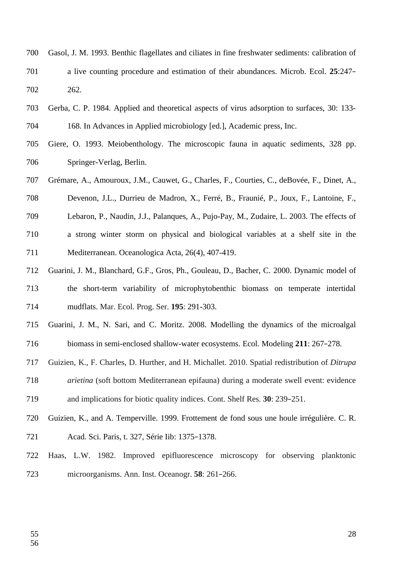- Gasol, J. M. 1993. Benthic flagellates and ciliates in fine freshwater sediments: calibration of a live counting procedure and estimation of their abundances. Microb. Ecol. **25**:247– 262. 700 701 702
- Gerba, C. P. 1984. Applied and theoretical aspects of virus adsorption to surfaces, 30: 133- 168. In Advances in Applied microbiology [ed.], Academic press, Inc. 703 704
- Giere, O. 1993. Meiobenthology. The microscopic fauna in aquatic sediments, 328 pp. Springer-Verlag, Berlin. 705 706
- Grémare, A., Amouroux, J.M., Cauwet, G., Charles, F., Courties, C., deBovée, F., Dinet, A., 707
- Devenon, J.L., Durrieu de Madron, X., Ferré, B., Fraunié, P., Joux, F., Lantoine, F., 708
- Lebaron, P., Naudin, J.J., Palanques, A., Pujo-Pay, M., Zudaire, L. 2003. The effects of 709
- a strong winter storm on physical and biological variables at a shelf site in the 710
- Mediterranean. Oceanologica Acta, 26(4), 407-419. 711
- Guarini, J. M., Blanchard, G.F., Gros, Ph., Gouleau, D., Bacher, C. 2000. Dynamic model of the short-term variability of microphytobenthic biomass on temperate intertidal mudflats. Mar. Ecol. Prog. Ser. **195**: 291-303. 712 713 714
- Guarini, J. M., N. Sari, and C. Moritz. 2008. Modelling the dynamics of the microalgal biomass in semi-enclosed shallow-water ecosystems. Ecol. Modeling **211**: 267–278. 715 716
- Guizien, K., F. Charles, D. Hurther, and H. Michallet. 2010. Spatial redistribution of *Ditrupa* 717
- *arietina* (soft bottom Mediterranean epifauna) during a moderate swell event: evidence 718
- and implications for biotic quality indices. Cont. Shelf Res. **30**: 239–251. 719
- Guizien, K., and A. Temperville. 1999. Frottement de fond sous une houle irrégulière. C. R. Acad. Sci. Paris, t. 327, Série Iib: 1375–1378. 720 721
- Haas, L.W. 1982. Improved epifluorescence microscopy for observing planktonic microorganisms. Ann. Inst. Oceanogr. **58**: 261–266. 722 723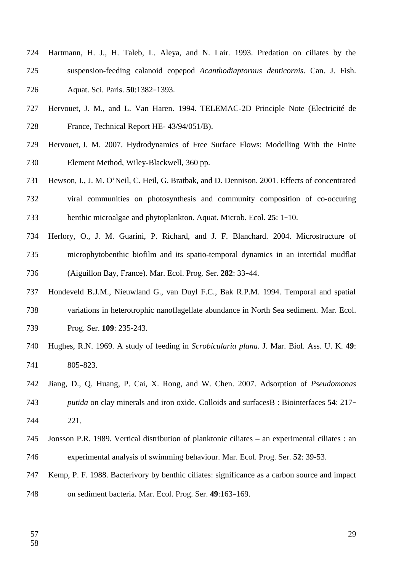- Hartmann, H. J., H. Taleb, L. Aleya, and N. Lair. 1993. Predation on ciliates by the suspension-feeding calanoid copepod *Acanthodiaptornus denticornis*. Can. J. Fish. Aquat. Sci. Paris. **50**:1382–1393. 724 725 726
- Hervouet, J. M., and L. Van Haren. 1994. TELEMAC-2D Principle Note (Electricité de France, Technical Report HE- 43/94/051/B). 727 728
- Hervouet, J. M. 2007. Hydrodynamics of Free Surface Flows: Modelling With the Finite Element Method, Wiley-Blackwell, 360 pp. 729 730
- Hewson, I., J. M. O'Neil, C. Heil, G. Bratbak, and D. Dennison. 2001. Effects of concentrated viral communities on photosynthesis and community composition of co-occuring benthic microalgae and phytoplankton. Aquat. Microb. Ecol. **25**: 1–10. 731 732 733
- Herlory, O., J. M. Guarini, P. Richard, and J. F. Blanchard. 2004. Microstructure of microphytobenthic biofilm and its spatio-temporal dynamics in an intertidal mudflat (Aiguillon Bay, France). Mar. Ecol. Prog. Ser. **282**: 33–44. 734 735 736
- Hondeveld B.J.M., Nieuwland G., van Duyl F.C., Bak R.P.M. 1994. Temporal and spatial variations in heterotrophic nanoflagellate abundance in North Sea sediment. Mar. Ecol. Prog. Ser. **109**: 235-243. 737 738 739
- Hughes, R.N. 1969. A study of feeding in *Scrobicularia plana*. J. Mar. Biol. Ass. U. K. **49**: 805–823. 740 741
- Jiang, D., Q. Huang, P. Cai, X. Rong, and W. Chen. 2007. Adsorption of *Pseudomonas putida* on clay minerals and iron oxide. Colloids and surfacesB : Biointerfaces **54**: 217– 221. 742 743 744
- Jonsson P.R. 1989. Vertical distribution of planktonic ciliates an experimental ciliates : an experimental analysis of swimming behaviour. Mar. Ecol. Prog. Ser. **52**: 39-53. 745 746
- Kemp, P. F. 1988. Bacterivory by benthic ciliates: significance as a carbon source and impact on sediment bacteria. Mar. Ecol. Prog. Ser. **49**:163–169. 747 748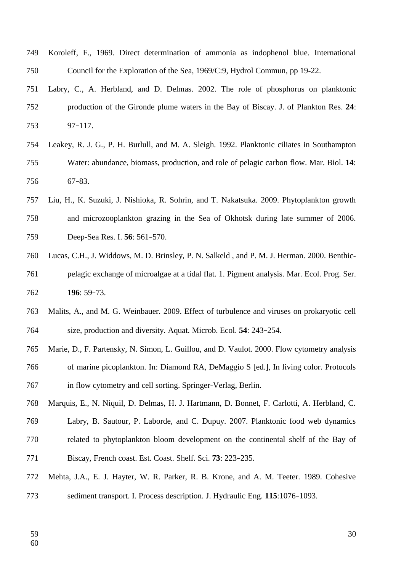- Koroleff, F., 1969. Direct determination of ammonia as indophenol blue. International Council for the Exploration of the Sea, 1969/C:9, Hydrol Commun, pp 19-22. 749 750
- Labry, C., A. Herbland, and D. Delmas. 2002. The role of phosphorus on planktonic production of the Gironde plume waters in the Bay of Biscay. J. of Plankton Res. **24**: 97–117. 751 752 753
- Leakey, R. J. G., P. H. Burlull, and M. A. Sleigh. 1992. Planktonic ciliates in Southampton Water: abundance, biomass, production, and role of pelagic carbon flow. Mar. Biol. **14**: 67–83. 754 755 756
- Liu, H., K. Suzuki, J. Nishioka, R. Sohrin, and T. Nakatsuka. 2009. Phytoplankton growth and microzooplankton grazing in the Sea of Okhotsk during late summer of 2006. Deep-Sea Res. I. **56**: 561–570. 757 758 759
- Lucas, C.H., J. Widdows, M. D. Brinsley, P. N. Salkeld , and P. M. J. Herman. 2000. Benthicpelagic exchange of microalgae at a tidal flat. 1. Pigment analysis. Mar. Ecol. Prog. Ser. **196**: 59–73. 760 761 762
- Malits, A., and M. G. Weinbauer. 2009. Effect of turbulence and viruses on prokaryotic cell size, production and diversity. Aquat. Microb. Ecol. **54**: 243–254. 763 764
- Marie, D., F. Partensky, N. Simon, L. Guillou, and D. Vaulot. 2000. Flow cytometry analysis of marine picoplankton. In: Diamond RA, DeMaggio S [ed.], In living color. Protocols in flow cytometry and cell sorting. Springer-Verlag, Berlin. 765 766 767
- Marquis, E., N. Niquil, D. Delmas, H. J. Hartmann, D. Bonnet, F. Carlotti, A. Herbland, C. 768
- Labry, B. Sautour, P. Laborde, and C. Dupuy. 2007. Planktonic food web dynamics 769
- related to phytoplankton bloom development on the continental shelf of the Bay of Biscay, French coast. Est. Coast. Shelf. Sci. **73**: 223–235. 770 771
- Mehta, J.A., E. J. Hayter, W. R. Parker, R. B. Krone, and A. M. Teeter. 1989. Cohesive sediment transport. I. Process description. J. Hydraulic Eng. **115**:1076–1093. 772 773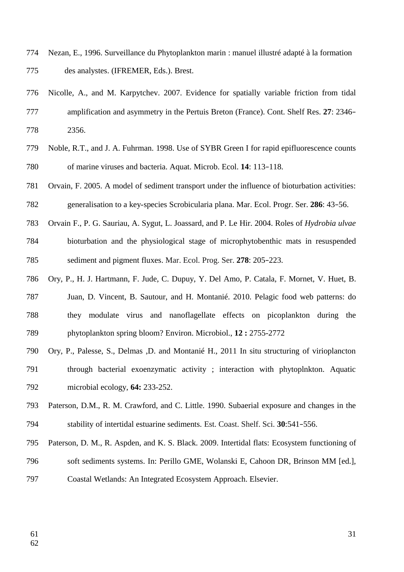- Nezan, E., 1996. Surveillance du Phytoplankton marin : manuel illustré adapté à la formation des analystes. (IFREMER, Eds.). Brest. 774 775
- Nicolle, A., and M. Karpytchev. 2007. Evidence for spatially variable friction from tidal amplification and asymmetry in the Pertuis Breton (France). Cont. Shelf Res. **27**: 2346– 2356. 776 777 778
- Noble, R.T., and J. A. Fuhrman. 1998. Use of SYBR Green I for rapid epifluorescence counts of marine viruses and bacteria. Aquat. Microb. Ecol. **14**: 113–118. 779 780
- Orvain, F. 2005. A model of sediment transport under the influence of bioturbation activities: generalisation to a key-species Scrobicularia plana. Mar. Ecol. Progr. Ser. **286**: 43–56. 781 782
- Orvain F., P. G. Sauriau, A. Sygut, L. Joassard, and P. Le Hir. 2004. Roles of *Hydrobia ulvae* bioturbation and the physiological stage of microphytobenthic mats in resuspended sediment and pigment fluxes. Mar. Ecol. Prog. Ser. **278**: 205–223. 783 784 785
- Ory, P., H. J. Hartmann, F. Jude, C. Dupuy, Y. Del Amo, P. Catala, F. Mornet, V. Huet, B. Juan, D. Vincent, B. Sautour, and H. Montanié. 2010. Pelagic food web patterns: do they modulate virus and nanoflagellate effects on picoplankton during the phytoplankton spring bloom? Environ. Microbiol., **12 :** 2755-2772 786 787 788 789
- Ory, P., Palesse, S., Delmas ,D. and Montanié H., 2011 In situ structuring of virioplancton through bacterial exoenzymatic activity ; interaction with phytoplnkton. Aquatic microbial ecology, **64:** 233-252. 790 791 792
- Paterson, D.M., R. M. Crawford, and C. Little. 1990. Subaerial exposure and changes in the stability of intertidal estuarine sediments. Est. Coast. Shelf. Sci. **30**:541–556. 793 794
- Paterson, D. M., R. Aspden, and K. S. Black. 2009. Intertidal flats: Ecosystem functioning of soft sediments systems. In: Perillo GME, Wolanski E, Cahoon DR, Brinson MM [ed.], 795 796
- Coastal Wetlands: An Integrated Ecosystem Approach. Elsevier. 797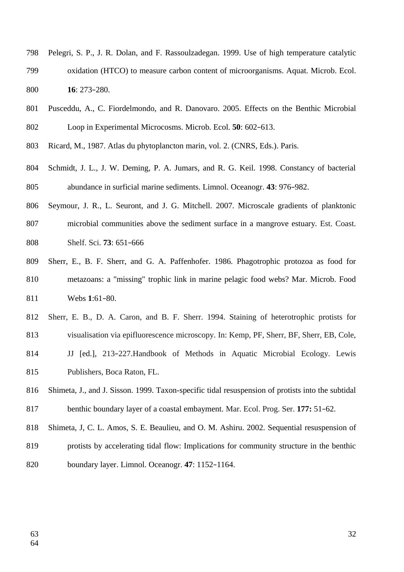- Pelegri, S. P., J. R. Dolan, and F. Rassoulzadegan. 1999. Use of high temperature catalytic oxidation (HTCO) to measure carbon content of microorganisms. Aquat. Microb. Ecol. **16**: 273–280. 798 799 800
- Pusceddu, A., C. Fiordelmondo, and R. Danovaro. 2005. Effects on the Benthic Microbial Loop in Experimental Microcosms. Microb. Ecol. **50**: 602–613. 801 802
- Ricard, M., 1987. Atlas du phytoplancton marin, vol. 2. (CNRS, Eds.). Paris. 803
- Schmidt, J. L., J. W. Deming, P. A. Jumars, and R. G. Keil. 1998. Constancy of bacterial abundance in surficial marine sediments. Limnol. Oceanogr. **43**: 976–982. 804 805
- Seymour, J. R., L. Seuront, and J. G. Mitchell. 2007. Microscale gradients of planktonic 806
- microbial communities above the sediment surface in a mangrove estuary. Est. Coast. Shelf. Sci. **73**: 651–666 807 808
- Sherr, E., B. F. Sherr, and G. A. Paffenhofer. 1986. Phagotrophic protozoa as food for metazoans: a "missing" trophic link in marine pelagic food webs? Mar. Microb. Food Webs **1**:61–80. 809 810 811
- Sherr, E. B., D. A. Caron, and B. F. Sherr. 1994. Staining of heterotrophic protists for 812
- visualisation via epifluorescence microscopy. In: Kemp, PF, Sherr, BF, Sherr, EB, Cole, 813
- JJ [ed.], 213–227.Handbook of Methods in Aquatic Microbial Ecology. Lewis Publishers, Boca Raton, FL. 814 815
- Shimeta, J., and J. Sisson. 1999. Taxon-specific tidal resuspension of protists into the subtidal benthic boundary layer of a coastal embayment. Mar. Ecol. Prog. Ser. **177:** 51–62. 816 817
- Shimeta, J, C. L. Amos, S. E. Beaulieu, and O. M. Ashiru. 2002. Sequential resuspension of 818
- protists by accelerating tidal flow: Implications for community structure in the benthic boundary layer. Limnol. Oceanogr. **47**: 1152–1164. 819 820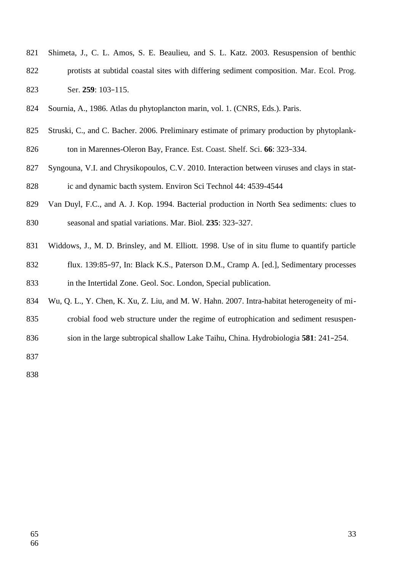- Shimeta, J., C. L. Amos, S. E. Beaulieu, and S. L. Katz. 2003. Resuspension of benthic protists at subtidal coastal sites with differing sediment composition. Mar. Ecol. Prog. Ser. **259**: 103–115. 821 822 823
- Sournia, A., 1986. Atlas du phytoplancton marin, vol. 1. (CNRS, Eds.). Paris. 824
- Struski, C., and C. Bacher. 2006. Preliminary estimate of primary production by phytoplankton in Marennes-Oleron Bay, France. Est. Coast. Shelf. Sci. **66**: 323–334. 825 826
- Syngouna, V.I. and Chrysikopoulos, C.V. 2010. Interaction between viruses and clays in static and dynamic bacth system. Environ Sci Technol 44: 4539-4544 827 828
- Van Duyl, F.C., and A. J. Kop. 1994. Bacterial production in North Sea sediments: clues to seasonal and spatial variations. Mar. Biol. **235**: 323–327. 829 830
- Widdows, J., M. D. Brinsley, and M. Elliott. 1998. Use of in situ flume to quantify particle 831
- flux. 139:85–97, In: Black K.S., Paterson D.M., Cramp A. [ed.], Sedimentary processes in the Intertidal Zone. Geol. Soc. London, Special publication. 832 833
- Wu, Q. L., Y. Chen, K. Xu, Z. Liu, and M. W. Hahn. 2007. Intra-habitat heterogeneity of mi-834
- crobial food web structure under the regime of eutrophication and sediment resuspen-835
- sion in the large subtropical shallow Lake Taihu, China. Hydrobiologia **581**: 241–254. 836
- 837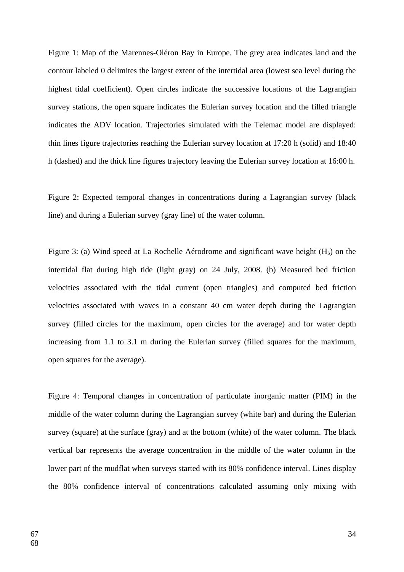Figure 1: Map of the Marennes-Oléron Bay in Europe. The grey area indicates land and the contour labeled 0 delimites the largest extent of the intertidal area (lowest sea level during the highest tidal coefficient). Open circles indicate the successive locations of the Lagrangian survey stations, the open square indicates the Eulerian survey location and the filled triangle indicates the ADV location. Trajectories simulated with the Telemac model are displayed: thin lines figure trajectories reaching the Eulerian survey location at 17:20 h (solid) and 18:40 h (dashed) and the thick line figures trajectory leaving the Eulerian survey location at 16:00 h.

Figure 2: Expected temporal changes in concentrations during a Lagrangian survey (black line) and during a Eulerian survey (gray line) of the water column.

Figure 3: (a) Wind speed at La Rochelle Aérodrome and significant wave height  $(H<sub>s</sub>)$  on the intertidal flat during high tide (light gray) on 24 July, 2008. (b) Measured bed friction velocities associated with the tidal current (open triangles) and computed bed friction velocities associated with waves in a constant 40 cm water depth during the Lagrangian survey (filled circles for the maximum, open circles for the average) and for water depth increasing from 1.1 to 3.1 m during the Eulerian survey (filled squares for the maximum, open squares for the average).

Figure 4: Temporal changes in concentration of particulate inorganic matter (PIM) in the middle of the water column during the Lagrangian survey (white bar) and during the Eulerian survey (square) at the surface (gray) and at the bottom (white) of the water column. The black vertical bar represents the average concentration in the middle of the water column in the lower part of the mudflat when surveys started with its 80% confidence interval. Lines display the 80% confidence interval of concentrations calculated assuming only mixing with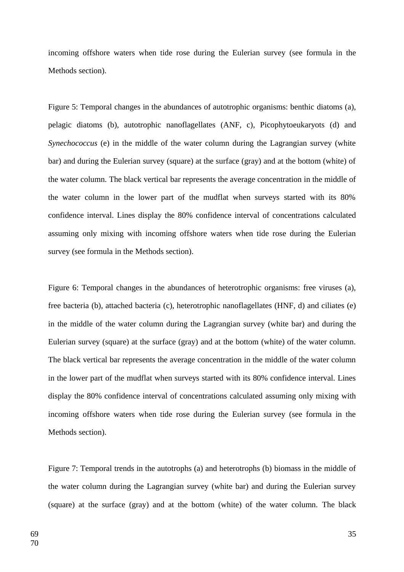incoming offshore waters when tide rose during the Eulerian survey (see formula in the Methods section).

Figure 5: Temporal changes in the abundances of autotrophic organisms: benthic diatoms (a), pelagic diatoms (b), autotrophic nanoflagellates (ANF, c), Picophytoeukaryots (d) and *Synechococcus* (e) in the middle of the water column during the Lagrangian survey (white bar) and during the Eulerian survey (square) at the surface (gray) and at the bottom (white) of the water column. The black vertical bar represents the average concentration in the middle of the water column in the lower part of the mudflat when surveys started with its 80% confidence interval. Lines display the 80% confidence interval of concentrations calculated assuming only mixing with incoming offshore waters when tide rose during the Eulerian survey (see formula in the Methods section).

Figure 6: Temporal changes in the abundances of heterotrophic organisms: free viruses (a), free bacteria (b), attached bacteria (c), heterotrophic nanoflagellates (HNF, d) and ciliates (e) in the middle of the water column during the Lagrangian survey (white bar) and during the Eulerian survey (square) at the surface (gray) and at the bottom (white) of the water column. The black vertical bar represents the average concentration in the middle of the water column in the lower part of the mudflat when surveys started with its 80% confidence interval. Lines display the 80% confidence interval of concentrations calculated assuming only mixing with incoming offshore waters when tide rose during the Eulerian survey (see formula in the Methods section).

Figure 7: Temporal trends in the autotrophs (a) and heterotrophs (b) biomass in the middle of the water column during the Lagrangian survey (white bar) and during the Eulerian survey (square) at the surface (gray) and at the bottom (white) of the water column. The black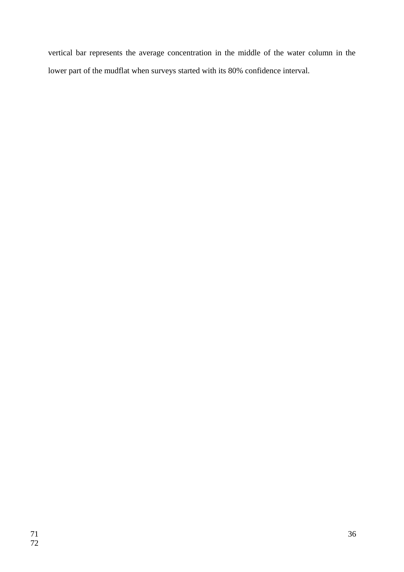vertical bar represents the average concentration in the middle of the water column in the lower part of the mudflat when surveys started with its 80% confidence interval.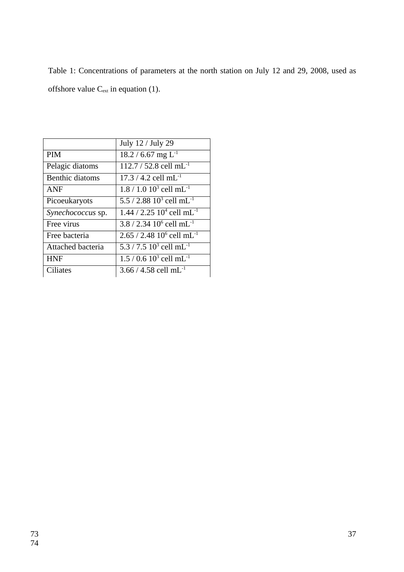Table 1: Concentrations of parameters at the north station on July 12 and 29, 2008, used as offshore value  $C_{ext}$  in equation (1).

| July 12 / July 29                        |
|------------------------------------------|
| 18.2 / 6.67 mg $L^{-1}$                  |
| 112.7 / 52.8 cell mL <sup>-1</sup>       |
| $17.3 / 4.2$ cell mL <sup>-1</sup>       |
| $1.8 / 1.0 103$ cell mL <sup>-1</sup>    |
| 5.5 / 2.88 $10^3$ cell mL <sup>-1</sup>  |
| $1.44 / 2.25 104$ cell mL <sup>-1</sup>  |
| $3.8 / 2.34 10^6$ cell mL <sup>-1</sup>  |
| $2.65 / 2.48 10^6$ cell mL <sup>-1</sup> |
| 5.3 / 7.5 $10^3$ cell mL <sup>-1</sup>   |
| $1.5/0.610^{3}$ cell mL <sup>-1</sup>    |
| 3.66 / 4.58 cell mL <sup>-1</sup>        |
|                                          |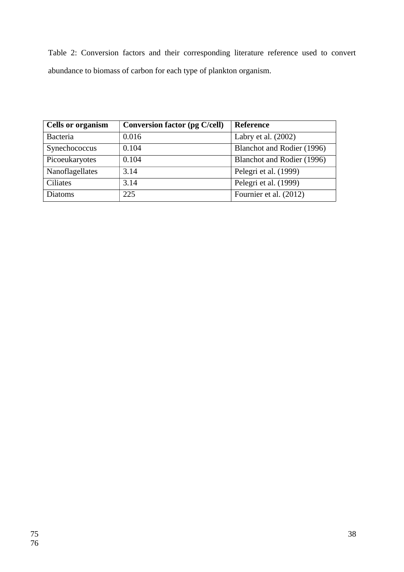Table 2: Conversion factors and their corresponding literature reference used to convert abundance to biomass of carbon for each type of plankton organism.

| <b>Cells or organism</b> | <b>Conversion factor (pg C/cell)</b> | Reference                  |
|--------------------------|--------------------------------------|----------------------------|
| <b>Bacteria</b>          | 0.016                                | Labry et al. (2002)        |
| Synechococcus            | 0.104                                | Blanchot and Rodier (1996) |
| Picoeukaryotes           | 0.104                                | Blanchot and Rodier (1996) |
| Nanoflagellates          | 3.14                                 | Pelegri et al. (1999)      |
| <b>Ciliates</b>          | 3.14                                 | Pelegri et al. (1999)      |
| <b>Diatoms</b>           | 225                                  | Fournier et al. (2012)     |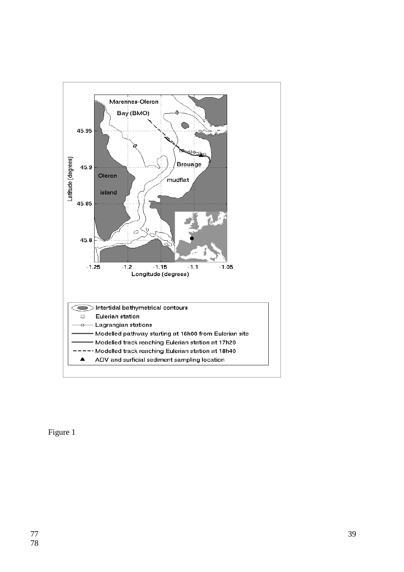

Figure 1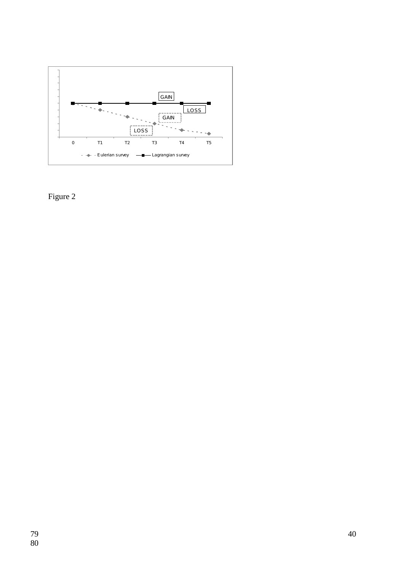

Figure 2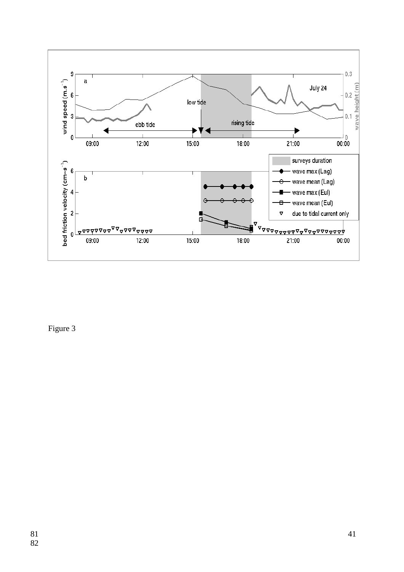

Figure 3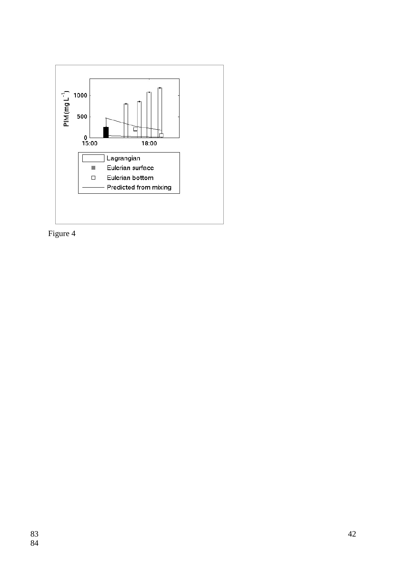

Figure 4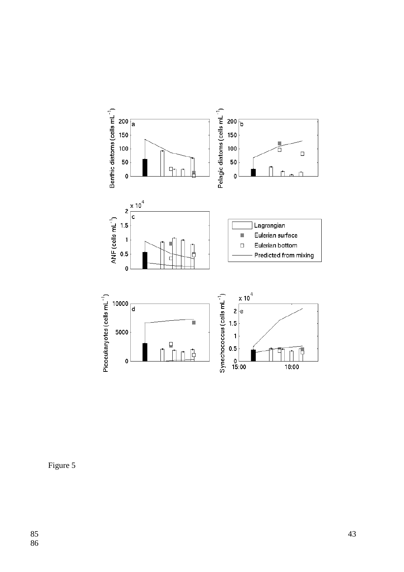

Figure 5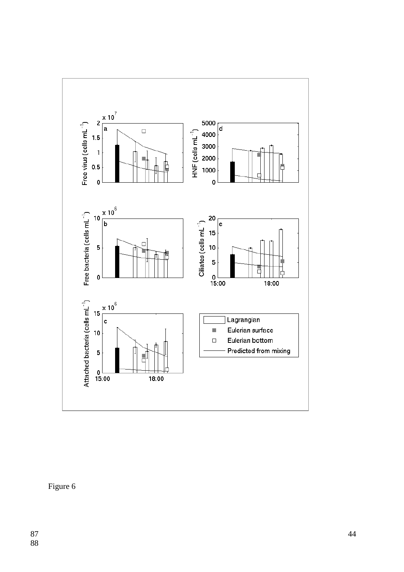

Figure 6